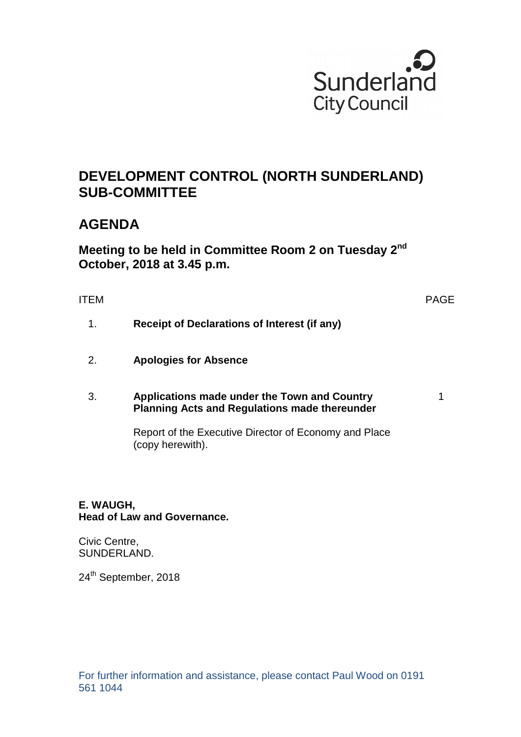

# **DEVELOPMENT CONTROL (NORTH SUNDERLAND) SUB-COMMITTEE**

# **AGENDA**

**Meeting to be held in Committee Room 2 on Tuesday 2nd October, 2018 at 3.45 p.m.** 

ITEM PAGE

- 1. **Receipt of Declarations of Interest (if any)**
- 2. **Apologies for Absence**

#### 3. **Applications made under the Town and Country Planning Acts and Regulations made thereunder**

1

Report of the Executive Director of Economy and Place (copy herewith).

# **E. WAUGH, Head of Law and Governance.**

Civic Centre, SUNDERLAND.

24<sup>th</sup> September, 2018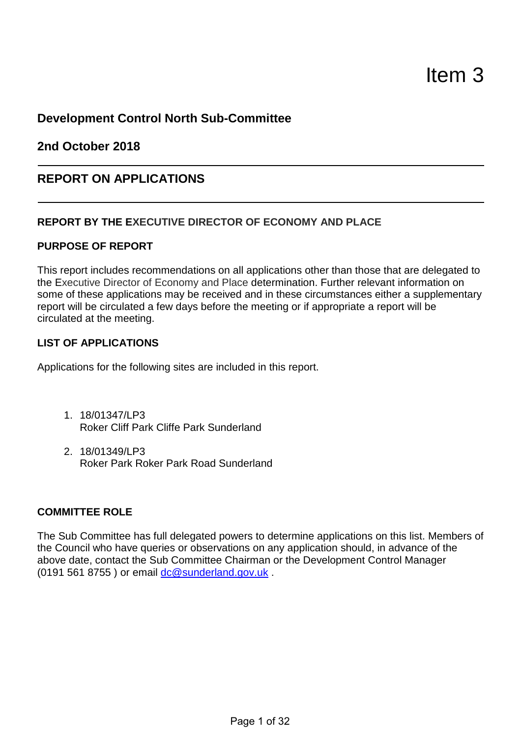# **Development Control North Sub-Committee**

**2nd October 2018** 

# **REPORT ON APPLICATIONS**

## **REPORT BY THE EXECUTIVE DIRECTOR OF ECONOMY AND PLACE**

### **PURPOSE OF REPORT**

This report includes recommendations on all applications other than those that are delegated to the Executive Director of Economy and Place determination. Further relevant information on some of these applications may be received and in these circumstances either a supplementary report will be circulated a few days before the meeting or if appropriate a report will be circulated at the meeting.

#### **LIST OF APPLICATIONS**

Applications for the following sites are included in this report.

- 1. 18/01347/LP3 Roker Cliff Park Cliffe Park Sunderland
- 2. 18/01349/LP3 Roker Park Roker Park Road Sunderland

#### **COMMITTEE ROLE**

The Sub Committee has full delegated powers to determine applications on this list. Members of the Council who have queries or observations on any application should, in advance of the above date, contact the Sub Committee Chairman or the Development Control Manager (0191 561 8755 ) or email dc@sunderland.gov.uk .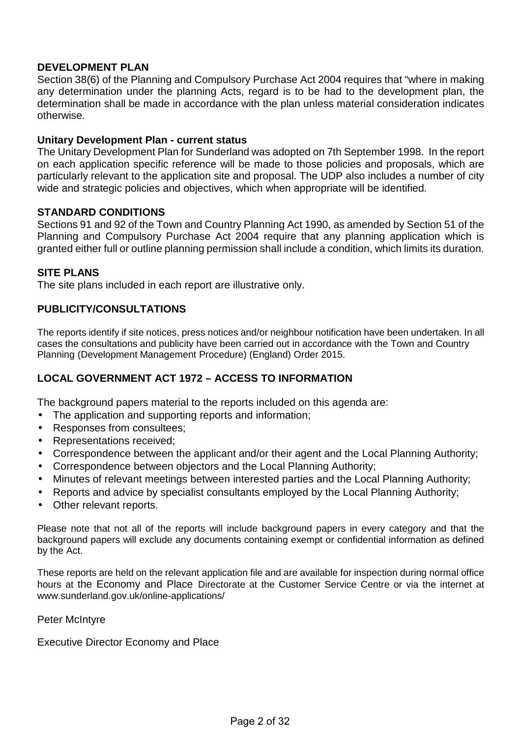## **DEVELOPMENT PLAN**

Section 38(6) of the Planning and Compulsory Purchase Act 2004 requires that "where in making any determination under the planning Acts, regard is to be had to the development plan, the determination shall be made in accordance with the plan unless material consideration indicates otherwise.

#### **Unitary Development Plan - current status**

The Unitary Development Plan for Sunderland was adopted on 7th September 1998. In the report on each application specific reference will be made to those policies and proposals, which are particularly relevant to the application site and proposal. The UDP also includes a number of city wide and strategic policies and objectives, which when appropriate will be identified.

#### **STANDARD CONDITIONS**

Sections 91 and 92 of the Town and Country Planning Act 1990, as amended by Section 51 of the Planning and Compulsory Purchase Act 2004 require that any planning application which is granted either full or outline planning permission shall include a condition, which limits its duration.

#### **SITE PLANS**

The site plans included in each report are illustrative only.

# **PUBLICITY/CONSULTATIONS**

The reports identify if site notices, press notices and/or neighbour notification have been undertaken. In all cases the consultations and publicity have been carried out in accordance with the Town and Country Planning (Development Management Procedure) (England) Order 2015.

# **LOCAL GOVERNMENT ACT 1972 – ACCESS TO INFORMATION**

The background papers material to the reports included on this agenda are:

- The application and supporting reports and information;
- Responses from consultees;
- Representations received;
- Correspondence between the applicant and/or their agent and the Local Planning Authority;
- Correspondence between objectors and the Local Planning Authority;
- Minutes of relevant meetings between interested parties and the Local Planning Authority;
- Reports and advice by specialist consultants employed by the Local Planning Authority;
- Other relevant reports.

Please note that not all of the reports will include background papers in every category and that the background papers will exclude any documents containing exempt or confidential information as defined by the Act.

These reports are held on the relevant application file and are available for inspection during normal office hours at the Economy and Place Directorate at the Customer Service Centre or via the internet at www.sunderland.gov.uk/online-applications/

Peter McIntyre

Executive Director Economy and Place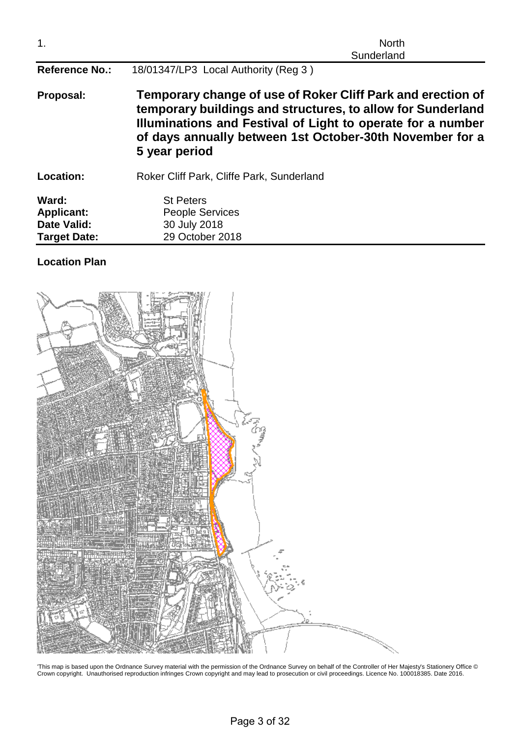| 1.                                                        | <b>North</b><br>Sunderland                                                                                                                                                                                                                                             |  |  |
|-----------------------------------------------------------|------------------------------------------------------------------------------------------------------------------------------------------------------------------------------------------------------------------------------------------------------------------------|--|--|
| <b>Reference No.:</b>                                     | 18/01347/LP3 Local Authority (Reg 3)                                                                                                                                                                                                                                   |  |  |
| Proposal:                                                 | Temporary change of use of Roker Cliff Park and erection of<br>temporary buildings and structures, to allow for Sunderland<br>Illuminations and Festival of Light to operate for a number<br>of days annually between 1st October-30th November for a<br>5 year period |  |  |
| <b>Location:</b>                                          | Roker Cliff Park, Cliffe Park, Sunderland                                                                                                                                                                                                                              |  |  |
| Ward:<br><b>Applicant:</b><br>Date Valid:<br>Target Date: | <b>St Peters</b><br><b>People Services</b><br>30 July 2018<br>29 October 2018                                                                                                                                                                                          |  |  |

# **Location Plan**



'This map is based upon the Ordnance Survey material with the permission of the Ordnance Survey on behalf of the Controller of Her Majesty's Stationery Office © Crown copyright. Unauthorised reproduction infringes Crown copyright and may lead to prosecution or civil proceedings. Licence No. 100018385. Date 2016.

Page 3 of 32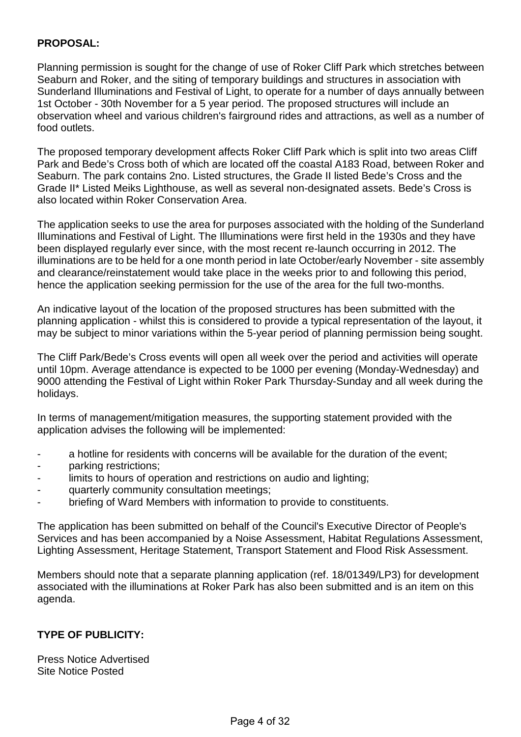## **PROPOSAL:**

Planning permission is sought for the change of use of Roker Cliff Park which stretches between Seaburn and Roker, and the siting of temporary buildings and structures in association with Sunderland Illuminations and Festival of Light, to operate for a number of days annually between 1st October - 30th November for a 5 year period. The proposed structures will include an observation wheel and various children's fairground rides and attractions, as well as a number of food outlets.

The proposed temporary development affects Roker Cliff Park which is split into two areas Cliff Park and Bede's Cross both of which are located off the coastal A183 Road, between Roker and Seaburn. The park contains 2no. Listed structures, the Grade II listed Bede's Cross and the Grade II\* Listed Meiks Lighthouse, as well as several non-designated assets. Bede's Cross is also located within Roker Conservation Area.

The application seeks to use the area for purposes associated with the holding of the Sunderland Illuminations and Festival of Light. The Illuminations were first held in the 1930s and they have been displayed regularly ever since, with the most recent re-launch occurring in 2012. The illuminations are to be held for a one month period in late October/early November - site assembly and clearance/reinstatement would take place in the weeks prior to and following this period, hence the application seeking permission for the use of the area for the full two-months.

An indicative layout of the location of the proposed structures has been submitted with the planning application - whilst this is considered to provide a typical representation of the layout, it may be subject to minor variations within the 5-year period of planning permission being sought.

The Cliff Park/Bede's Cross events will open all week over the period and activities will operate until 10pm. Average attendance is expected to be 1000 per evening (Monday-Wednesday) and 9000 attending the Festival of Light within Roker Park Thursday-Sunday and all week during the holidays.

In terms of management/mitigation measures, the supporting statement provided with the application advises the following will be implemented:

- a hotline for residents with concerns will be available for the duration of the event;
- parking restrictions:
- limits to hours of operation and restrictions on audio and lighting;
- quarterly community consultation meetings;
- briefing of Ward Members with information to provide to constituents.

The application has been submitted on behalf of the Council's Executive Director of People's Services and has been accompanied by a Noise Assessment, Habitat Regulations Assessment, Lighting Assessment, Heritage Statement, Transport Statement and Flood Risk Assessment.

Members should note that a separate planning application (ref. 18/01349/LP3) for development associated with the illuminations at Roker Park has also been submitted and is an item on this agenda.

# **TYPE OF PUBLICITY:**

Press Notice Advertised Site Notice Posted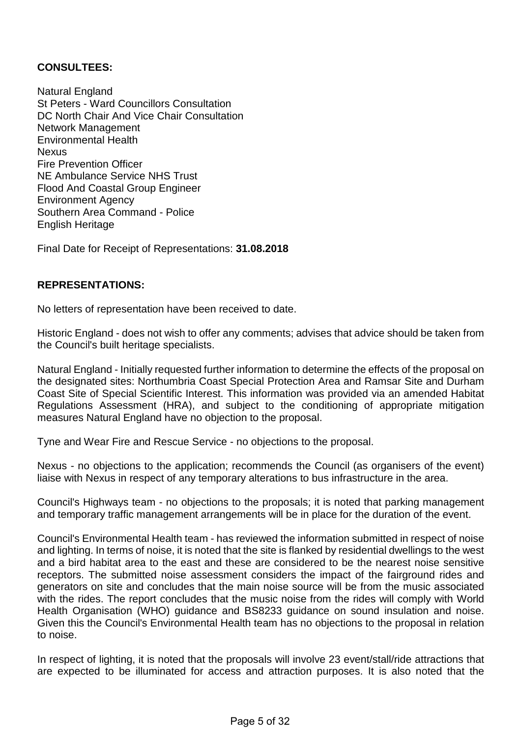## **CONSULTEES:**

Natural England St Peters - Ward Councillors Consultation DC North Chair And Vice Chair Consultation Network Management Environmental Health Nexus Fire Prevention Officer NE Ambulance Service NHS Trust Flood And Coastal Group Engineer Environment Agency Southern Area Command - Police English Heritage

Final Date for Receipt of Representations: **31.08.2018**

#### **REPRESENTATIONS:**

No letters of representation have been received to date.

Historic England - does not wish to offer any comments; advises that advice should be taken from the Council's built heritage specialists.

Natural England - Initially requested further information to determine the effects of the proposal on the designated sites: Northumbria Coast Special Protection Area and Ramsar Site and Durham Coast Site of Special Scientific Interest. This information was provided via an amended Habitat Regulations Assessment (HRA), and subject to the conditioning of appropriate mitigation measures Natural England have no objection to the proposal.

Tyne and Wear Fire and Rescue Service - no objections to the proposal.

Nexus - no objections to the application; recommends the Council (as organisers of the event) liaise with Nexus in respect of any temporary alterations to bus infrastructure in the area.

Council's Highways team - no objections to the proposals; it is noted that parking management and temporary traffic management arrangements will be in place for the duration of the event.

Council's Environmental Health team - has reviewed the information submitted in respect of noise and lighting. In terms of noise, it is noted that the site is flanked by residential dwellings to the west and a bird habitat area to the east and these are considered to be the nearest noise sensitive receptors. The submitted noise assessment considers the impact of the fairground rides and generators on site and concludes that the main noise source will be from the music associated with the rides. The report concludes that the music noise from the rides will comply with World Health Organisation (WHO) guidance and BS8233 guidance on sound insulation and noise. Given this the Council's Environmental Health team has no objections to the proposal in relation to noise.

In respect of lighting, it is noted that the proposals will involve 23 event/stall/ride attractions that are expected to be illuminated for access and attraction purposes. It is also noted that the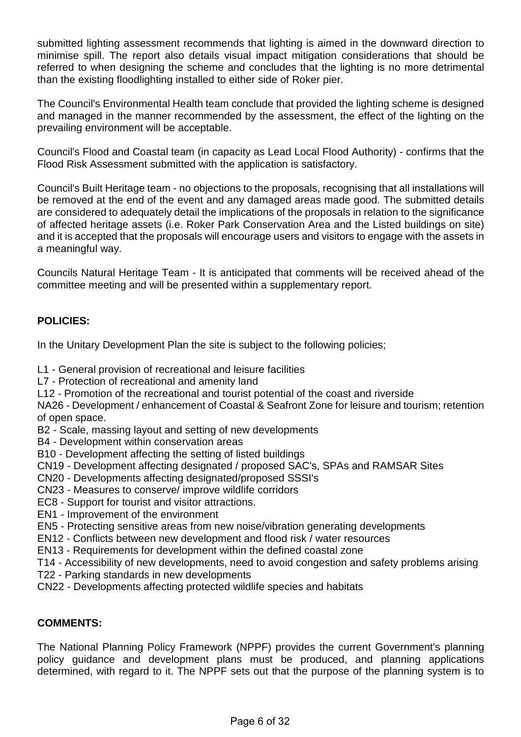submitted lighting assessment recommends that lighting is aimed in the downward direction to minimise spill. The report also details visual impact mitigation considerations that should be referred to when designing the scheme and concludes that the lighting is no more detrimental than the existing floodlighting installed to either side of Roker pier.

The Council's Environmental Health team conclude that provided the lighting scheme is designed and managed in the manner recommended by the assessment, the effect of the lighting on the prevailing environment will be acceptable.

Council's Flood and Coastal team (in capacity as Lead Local Flood Authority) - confirms that the Flood Risk Assessment submitted with the application is satisfactory.

Council's Built Heritage team - no objections to the proposals, recognising that all installations will be removed at the end of the event and any damaged areas made good. The submitted details are considered to adequately detail the implications of the proposals in relation to the significance of affected heritage assets (i.e. Roker Park Conservation Area and the Listed buildings on site) and it is accepted that the proposals will encourage users and visitors to engage with the assets in a meaningful way.

Councils Natural Heritage Team - It is anticipated that comments will be received ahead of the committee meeting and will be presented within a supplementary report.

# **POLICIES:**

In the Unitary Development Plan the site is subject to the following policies;

- L1 General provision of recreational and leisure facilities
- L7 Protection of recreational and amenity land
- L12 Promotion of the recreational and tourist potential of the coast and riverside

NA26 - Development / enhancement of Coastal & Seafront Zone for leisure and tourism; retention of open space.

- B2 Scale, massing layout and setting of new developments
- B4 Development within conservation areas
- B10 Development affecting the setting of listed buildings
- CN19 Development affecting designated / proposed SAC's, SPAs and RAMSAR Sites
- CN20 Developments affecting designated/proposed SSSI's
- CN23 Measures to conserve/ improve wildlife corridors
- EC8 Support for tourist and visitor attractions.
- EN1 Improvement of the environment
- EN5 Protecting sensitive areas from new noise/vibration generating developments
- EN12 Conflicts between new development and flood risk / water resources
- EN13 Requirements for development within the defined coastal zone
- T14 Accessibility of new developments, need to avoid congestion and safety problems arising
- T22 Parking standards in new developments
- CN22 Developments affecting protected wildlife species and habitats

#### **COMMENTS:**

The National Planning Policy Framework (NPPF) provides the current Government's planning policy guidance and development plans must be produced, and planning applications determined, with regard to it. The NPPF sets out that the purpose of the planning system is to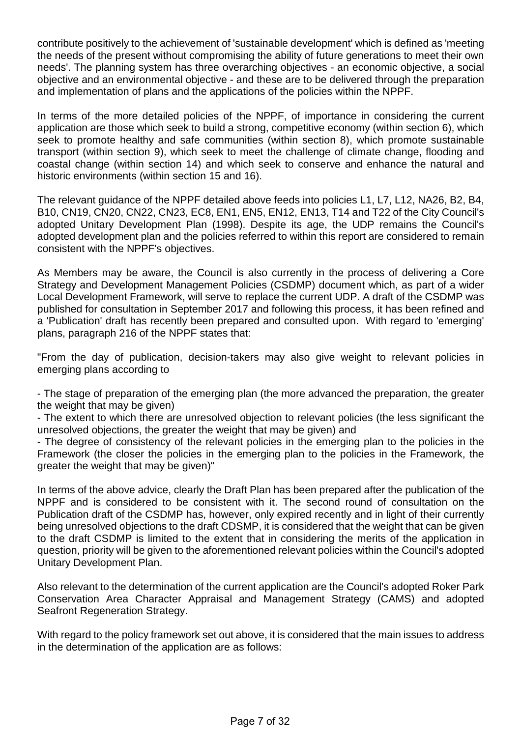contribute positively to the achievement of 'sustainable development' which is defined as 'meeting the needs of the present without compromising the ability of future generations to meet their own needs'. The planning system has three overarching objectives - an economic objective, a social objective and an environmental objective - and these are to be delivered through the preparation and implementation of plans and the applications of the policies within the NPPF.

In terms of the more detailed policies of the NPPF, of importance in considering the current application are those which seek to build a strong, competitive economy (within section 6), which seek to promote healthy and safe communities (within section 8), which promote sustainable transport (within section 9), which seek to meet the challenge of climate change, flooding and coastal change (within section 14) and which seek to conserve and enhance the natural and historic environments (within section 15 and 16).

The relevant guidance of the NPPF detailed above feeds into policies L1, L7, L12, NA26, B2, B4, B10, CN19, CN20, CN22, CN23, EC8, EN1, EN5, EN12, EN13, T14 and T22 of the City Council's adopted Unitary Development Plan (1998). Despite its age, the UDP remains the Council's adopted development plan and the policies referred to within this report are considered to remain consistent with the NPPF's objectives.

As Members may be aware, the Council is also currently in the process of delivering a Core Strategy and Development Management Policies (CSDMP) document which, as part of a wider Local Development Framework, will serve to replace the current UDP. A draft of the CSDMP was published for consultation in September 2017 and following this process, it has been refined and a 'Publication' draft has recently been prepared and consulted upon. With regard to 'emerging' plans, paragraph 216 of the NPPF states that:

"From the day of publication, decision-takers may also give weight to relevant policies in emerging plans according to

- The stage of preparation of the emerging plan (the more advanced the preparation, the greater the weight that may be given)

- The extent to which there are unresolved objection to relevant policies (the less significant the unresolved objections, the greater the weight that may be given) and

- The degree of consistency of the relevant policies in the emerging plan to the policies in the Framework (the closer the policies in the emerging plan to the policies in the Framework, the greater the weight that may be given)"

In terms of the above advice, clearly the Draft Plan has been prepared after the publication of the NPPF and is considered to be consistent with it. The second round of consultation on the Publication draft of the CSDMP has, however, only expired recently and in light of their currently being unresolved objections to the draft CDSMP, it is considered that the weight that can be given to the draft CSDMP is limited to the extent that in considering the merits of the application in question, priority will be given to the aforementioned relevant policies within the Council's adopted Unitary Development Plan.

Also relevant to the determination of the current application are the Council's adopted Roker Park Conservation Area Character Appraisal and Management Strategy (CAMS) and adopted Seafront Regeneration Strategy.

With regard to the policy framework set out above, it is considered that the main issues to address in the determination of the application are as follows: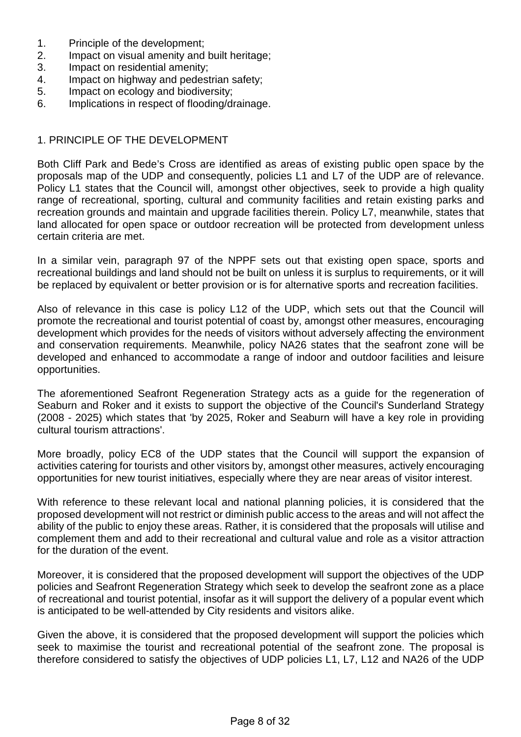- 1. Principle of the development;
- 2. Impact on visual amenity and built heritage;
- 3. Impact on residential amenity;
- 4. Impact on highway and pedestrian safety;
- 5. Impact on ecology and biodiversity;
- 6. Implications in respect of flooding/drainage.

#### 1. PRINCIPLE OF THE DEVELOPMENT

Both Cliff Park and Bede's Cross are identified as areas of existing public open space by the proposals map of the UDP and consequently, policies L1 and L7 of the UDP are of relevance. Policy L1 states that the Council will, amongst other objectives, seek to provide a high quality range of recreational, sporting, cultural and community facilities and retain existing parks and recreation grounds and maintain and upgrade facilities therein. Policy L7, meanwhile, states that land allocated for open space or outdoor recreation will be protected from development unless certain criteria are met.

In a similar vein, paragraph 97 of the NPPF sets out that existing open space, sports and recreational buildings and land should not be built on unless it is surplus to requirements, or it will be replaced by equivalent or better provision or is for alternative sports and recreation facilities.

Also of relevance in this case is policy L12 of the UDP, which sets out that the Council will promote the recreational and tourist potential of coast by, amongst other measures, encouraging development which provides for the needs of visitors without adversely affecting the environment and conservation requirements. Meanwhile, policy NA26 states that the seafront zone will be developed and enhanced to accommodate a range of indoor and outdoor facilities and leisure opportunities.

The aforementioned Seafront Regeneration Strategy acts as a guide for the regeneration of Seaburn and Roker and it exists to support the objective of the Council's Sunderland Strategy (2008 - 2025) which states that 'by 2025, Roker and Seaburn will have a key role in providing cultural tourism attractions'.

More broadly, policy EC8 of the UDP states that the Council will support the expansion of activities catering for tourists and other visitors by, amongst other measures, actively encouraging opportunities for new tourist initiatives, especially where they are near areas of visitor interest.

With reference to these relevant local and national planning policies, it is considered that the proposed development will not restrict or diminish public access to the areas and will not affect the ability of the public to enjoy these areas. Rather, it is considered that the proposals will utilise and complement them and add to their recreational and cultural value and role as a visitor attraction for the duration of the event.

Moreover, it is considered that the proposed development will support the objectives of the UDP policies and Seafront Regeneration Strategy which seek to develop the seafront zone as a place of recreational and tourist potential, insofar as it will support the delivery of a popular event which is anticipated to be well-attended by City residents and visitors alike.

Given the above, it is considered that the proposed development will support the policies which seek to maximise the tourist and recreational potential of the seafront zone. The proposal is therefore considered to satisfy the objectives of UDP policies L1, L7, L12 and NA26 of the UDP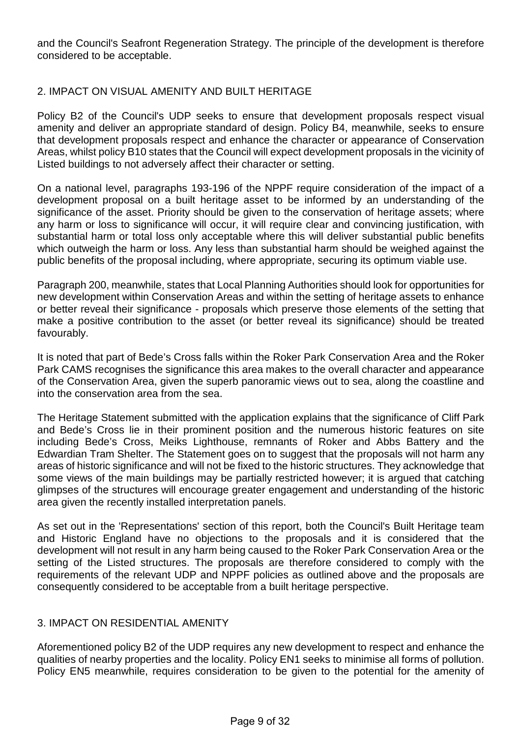and the Council's Seafront Regeneration Strategy. The principle of the development is therefore considered to be acceptable.

#### 2. IMPACT ON VISUAL AMENITY AND BUILT HERITAGE

Policy B2 of the Council's UDP seeks to ensure that development proposals respect visual amenity and deliver an appropriate standard of design. Policy B4, meanwhile, seeks to ensure that development proposals respect and enhance the character or appearance of Conservation Areas, whilst policy B10 states that the Council will expect development proposals in the vicinity of Listed buildings to not adversely affect their character or setting.

On a national level, paragraphs 193-196 of the NPPF require consideration of the impact of a development proposal on a built heritage asset to be informed by an understanding of the significance of the asset. Priority should be given to the conservation of heritage assets; where any harm or loss to significance will occur, it will require clear and convincing justification, with substantial harm or total loss only acceptable where this will deliver substantial public benefits which outweigh the harm or loss. Any less than substantial harm should be weighed against the public benefits of the proposal including, where appropriate, securing its optimum viable use.

Paragraph 200, meanwhile, states that Local Planning Authorities should look for opportunities for new development within Conservation Areas and within the setting of heritage assets to enhance or better reveal their significance - proposals which preserve those elements of the setting that make a positive contribution to the asset (or better reveal its significance) should be treated favourably.

It is noted that part of Bede's Cross falls within the Roker Park Conservation Area and the Roker Park CAMS recognises the significance this area makes to the overall character and appearance of the Conservation Area, given the superb panoramic views out to sea, along the coastline and into the conservation area from the sea.

The Heritage Statement submitted with the application explains that the significance of Cliff Park and Bede's Cross lie in their prominent position and the numerous historic features on site including Bede's Cross, Meiks Lighthouse, remnants of Roker and Abbs Battery and the Edwardian Tram Shelter. The Statement goes on to suggest that the proposals will not harm any areas of historic significance and will not be fixed to the historic structures. They acknowledge that some views of the main buildings may be partially restricted however; it is argued that catching glimpses of the structures will encourage greater engagement and understanding of the historic area given the recently installed interpretation panels.

As set out in the 'Representations' section of this report, both the Council's Built Heritage team and Historic England have no objections to the proposals and it is considered that the development will not result in any harm being caused to the Roker Park Conservation Area or the setting of the Listed structures. The proposals are therefore considered to comply with the requirements of the relevant UDP and NPPF policies as outlined above and the proposals are consequently considered to be acceptable from a built heritage perspective.

#### 3. IMPACT ON RESIDENTIAL AMENITY

Aforementioned policy B2 of the UDP requires any new development to respect and enhance the qualities of nearby properties and the locality. Policy EN1 seeks to minimise all forms of pollution. Policy EN5 meanwhile, requires consideration to be given to the potential for the amenity of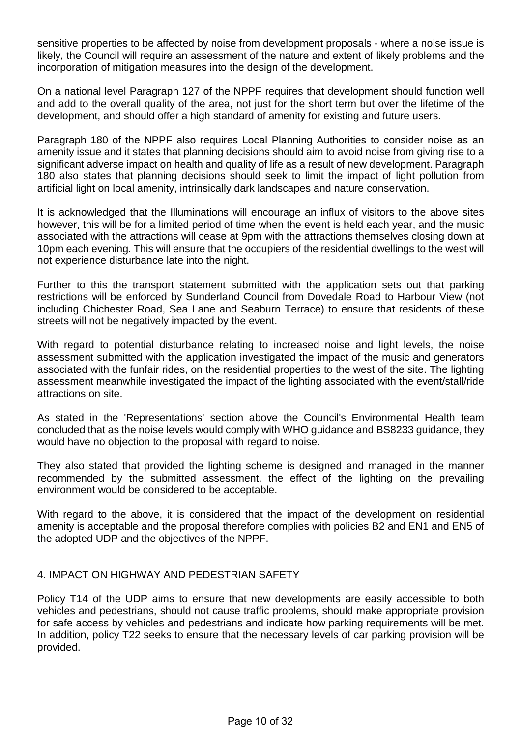sensitive properties to be affected by noise from development proposals - where a noise issue is likely, the Council will require an assessment of the nature and extent of likely problems and the incorporation of mitigation measures into the design of the development.

On a national level Paragraph 127 of the NPPF requires that development should function well and add to the overall quality of the area, not just for the short term but over the lifetime of the development, and should offer a high standard of amenity for existing and future users.

Paragraph 180 of the NPPF also requires Local Planning Authorities to consider noise as an amenity issue and it states that planning decisions should aim to avoid noise from giving rise to a significant adverse impact on health and quality of life as a result of new development. Paragraph 180 also states that planning decisions should seek to limit the impact of light pollution from artificial light on local amenity, intrinsically dark landscapes and nature conservation.

It is acknowledged that the Illuminations will encourage an influx of visitors to the above sites however, this will be for a limited period of time when the event is held each year, and the music associated with the attractions will cease at 9pm with the attractions themselves closing down at 10pm each evening. This will ensure that the occupiers of the residential dwellings to the west will not experience disturbance late into the night.

Further to this the transport statement submitted with the application sets out that parking restrictions will be enforced by Sunderland Council from Dovedale Road to Harbour View (not including Chichester Road, Sea Lane and Seaburn Terrace) to ensure that residents of these streets will not be negatively impacted by the event.

With regard to potential disturbance relating to increased noise and light levels, the noise assessment submitted with the application investigated the impact of the music and generators associated with the funfair rides, on the residential properties to the west of the site. The lighting assessment meanwhile investigated the impact of the lighting associated with the event/stall/ride attractions on site.

As stated in the 'Representations' section above the Council's Environmental Health team concluded that as the noise levels would comply with WHO guidance and BS8233 guidance, they would have no objection to the proposal with regard to noise.

They also stated that provided the lighting scheme is designed and managed in the manner recommended by the submitted assessment, the effect of the lighting on the prevailing environment would be considered to be acceptable.

With regard to the above, it is considered that the impact of the development on residential amenity is acceptable and the proposal therefore complies with policies B2 and EN1 and EN5 of the adopted UDP and the objectives of the NPPF.

# 4. IMPACT ON HIGHWAY AND PEDESTRIAN SAFETY

Policy T14 of the UDP aims to ensure that new developments are easily accessible to both vehicles and pedestrians, should not cause traffic problems, should make appropriate provision for safe access by vehicles and pedestrians and indicate how parking requirements will be met. In addition, policy T22 seeks to ensure that the necessary levels of car parking provision will be provided.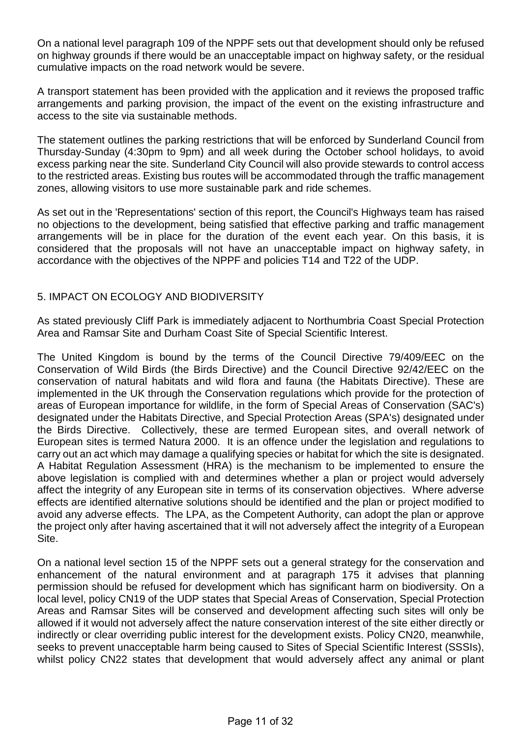On a national level paragraph 109 of the NPPF sets out that development should only be refused on highway grounds if there would be an unacceptable impact on highway safety, or the residual cumulative impacts on the road network would be severe.

A transport statement has been provided with the application and it reviews the proposed traffic arrangements and parking provision, the impact of the event on the existing infrastructure and access to the site via sustainable methods.

The statement outlines the parking restrictions that will be enforced by Sunderland Council from Thursday-Sunday (4:30pm to 9pm) and all week during the October school holidays, to avoid excess parking near the site. Sunderland City Council will also provide stewards to control access to the restricted areas. Existing bus routes will be accommodated through the traffic management zones, allowing visitors to use more sustainable park and ride schemes.

As set out in the 'Representations' section of this report, the Council's Highways team has raised no objections to the development, being satisfied that effective parking and traffic management arrangements will be in place for the duration of the event each year. On this basis, it is considered that the proposals will not have an unacceptable impact on highway safety, in accordance with the objectives of the NPPF and policies T14 and T22 of the UDP.

## 5. IMPACT ON ECOLOGY AND BIODIVERSITY

As stated previously Cliff Park is immediately adjacent to Northumbria Coast Special Protection Area and Ramsar Site and Durham Coast Site of Special Scientific Interest.

The United Kingdom is bound by the terms of the Council Directive 79/409/EEC on the Conservation of Wild Birds (the Birds Directive) and the Council Directive 92/42/EEC on the conservation of natural habitats and wild flora and fauna (the Habitats Directive). These are implemented in the UK through the Conservation regulations which provide for the protection of areas of European importance for wildlife, in the form of Special Areas of Conservation (SAC's) designated under the Habitats Directive, and Special Protection Areas (SPA's) designated under the Birds Directive. Collectively, these are termed European sites, and overall network of European sites is termed Natura 2000. It is an offence under the legislation and regulations to carry out an act which may damage a qualifying species or habitat for which the site is designated. A Habitat Regulation Assessment (HRA) is the mechanism to be implemented to ensure the above legislation is complied with and determines whether a plan or project would adversely affect the integrity of any European site in terms of its conservation objectives. Where adverse effects are identified alternative solutions should be identified and the plan or project modified to avoid any adverse effects. The LPA, as the Competent Authority, can adopt the plan or approve the project only after having ascertained that it will not adversely affect the integrity of a European Site.

On a national level section 15 of the NPPF sets out a general strategy for the conservation and enhancement of the natural environment and at paragraph 175 it advises that planning permission should be refused for development which has significant harm on biodiversity. On a local level, policy CN19 of the UDP states that Special Areas of Conservation, Special Protection Areas and Ramsar Sites will be conserved and development affecting such sites will only be allowed if it would not adversely affect the nature conservation interest of the site either directly or indirectly or clear overriding public interest for the development exists. Policy CN20, meanwhile, seeks to prevent unacceptable harm being caused to Sites of Special Scientific Interest (SSSIs), whilst policy CN22 states that development that would adversely affect any animal or plant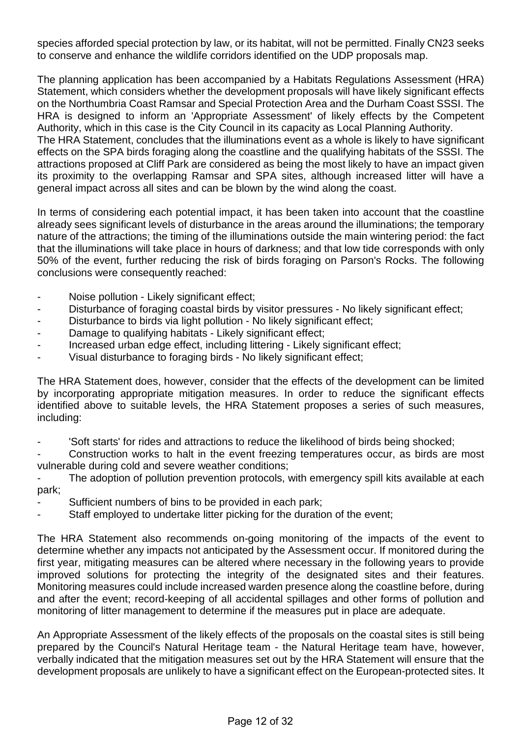species afforded special protection by law, or its habitat, will not be permitted. Finally CN23 seeks to conserve and enhance the wildlife corridors identified on the UDP proposals map.

The planning application has been accompanied by a Habitats Regulations Assessment (HRA) Statement, which considers whether the development proposals will have likely significant effects on the Northumbria Coast Ramsar and Special Protection Area and the Durham Coast SSSI. The HRA is designed to inform an 'Appropriate Assessment' of likely effects by the Competent Authority, which in this case is the City Council in its capacity as Local Planning Authority. The HRA Statement, concludes that the illuminations event as a whole is likely to have significant effects on the SPA birds foraging along the coastline and the qualifying habitats of the SSSI. The

attractions proposed at Cliff Park are considered as being the most likely to have an impact given its proximity to the overlapping Ramsar and SPA sites, although increased litter will have a general impact across all sites and can be blown by the wind along the coast.

In terms of considering each potential impact, it has been taken into account that the coastline already sees significant levels of disturbance in the areas around the illuminations; the temporary nature of the attractions; the timing of the illuminations outside the main wintering period: the fact that the illuminations will take place in hours of darkness; and that low tide corresponds with only 50% of the event, further reducing the risk of birds foraging on Parson's Rocks. The following conclusions were consequently reached:

- Noise pollution Likely significant effect;
- Disturbance of foraging coastal birds by visitor pressures No likely significant effect;
- Disturbance to birds via light pollution No likely significant effect;
- Damage to qualifying habitats Likely significant effect;
- Increased urban edge effect, including littering Likely significant effect;
- Visual disturbance to foraging birds No likely significant effect;

The HRA Statement does, however, consider that the effects of the development can be limited by incorporating appropriate mitigation measures. In order to reduce the significant effects identified above to suitable levels, the HRA Statement proposes a series of such measures, including:

- 'Soft starts' for rides and attractions to reduce the likelihood of birds being shocked;

Construction works to halt in the event freezing temperatures occur, as birds are most vulnerable during cold and severe weather conditions;

The adoption of pollution prevention protocols, with emergency spill kits available at each park;

- Sufficient numbers of bins to be provided in each park;
- Staff employed to undertake litter picking for the duration of the event;

The HRA Statement also recommends on-going monitoring of the impacts of the event to determine whether any impacts not anticipated by the Assessment occur. If monitored during the first year, mitigating measures can be altered where necessary in the following years to provide improved solutions for protecting the integrity of the designated sites and their features. Monitoring measures could include increased warden presence along the coastline before, during and after the event; record-keeping of all accidental spillages and other forms of pollution and monitoring of litter management to determine if the measures put in place are adequate.

An Appropriate Assessment of the likely effects of the proposals on the coastal sites is still being prepared by the Council's Natural Heritage team - the Natural Heritage team have, however, verbally indicated that the mitigation measures set out by the HRA Statement will ensure that the development proposals are unlikely to have a significant effect on the European-protected sites. It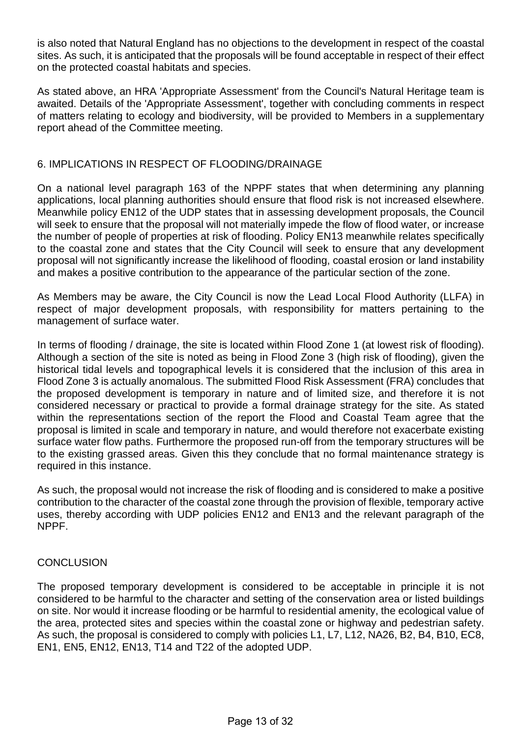is also noted that Natural England has no objections to the development in respect of the coastal sites. As such, it is anticipated that the proposals will be found acceptable in respect of their effect on the protected coastal habitats and species.

As stated above, an HRA 'Appropriate Assessment' from the Council's Natural Heritage team is awaited. Details of the 'Appropriate Assessment', together with concluding comments in respect of matters relating to ecology and biodiversity, will be provided to Members in a supplementary report ahead of the Committee meeting.

## 6. IMPLICATIONS IN RESPECT OF FLOODING/DRAINAGE

On a national level paragraph 163 of the NPPF states that when determining any planning applications, local planning authorities should ensure that flood risk is not increased elsewhere. Meanwhile policy EN12 of the UDP states that in assessing development proposals, the Council will seek to ensure that the proposal will not materially impede the flow of flood water, or increase the number of people of properties at risk of flooding. Policy EN13 meanwhile relates specifically to the coastal zone and states that the City Council will seek to ensure that any development proposal will not significantly increase the likelihood of flooding, coastal erosion or land instability and makes a positive contribution to the appearance of the particular section of the zone.

As Members may be aware, the City Council is now the Lead Local Flood Authority (LLFA) in respect of major development proposals, with responsibility for matters pertaining to the management of surface water.

In terms of flooding / drainage, the site is located within Flood Zone 1 (at lowest risk of flooding). Although a section of the site is noted as being in Flood Zone 3 (high risk of flooding), given the historical tidal levels and topographical levels it is considered that the inclusion of this area in Flood Zone 3 is actually anomalous. The submitted Flood Risk Assessment (FRA) concludes that the proposed development is temporary in nature and of limited size, and therefore it is not considered necessary or practical to provide a formal drainage strategy for the site. As stated within the representations section of the report the Flood and Coastal Team agree that the proposal is limited in scale and temporary in nature, and would therefore not exacerbate existing surface water flow paths. Furthermore the proposed run-off from the temporary structures will be to the existing grassed areas. Given this they conclude that no formal maintenance strategy is required in this instance.

As such, the proposal would not increase the risk of flooding and is considered to make a positive contribution to the character of the coastal zone through the provision of flexible, temporary active uses, thereby according with UDP policies EN12 and EN13 and the relevant paragraph of the NPPF.

#### **CONCLUSION**

The proposed temporary development is considered to be acceptable in principle it is not considered to be harmful to the character and setting of the conservation area or listed buildings on site. Nor would it increase flooding or be harmful to residential amenity, the ecological value of the area, protected sites and species within the coastal zone or highway and pedestrian safety. As such, the proposal is considered to comply with policies L1, L7, L12, NA26, B2, B4, B10, EC8, EN1, EN5, EN12, EN13, T14 and T22 of the adopted UDP.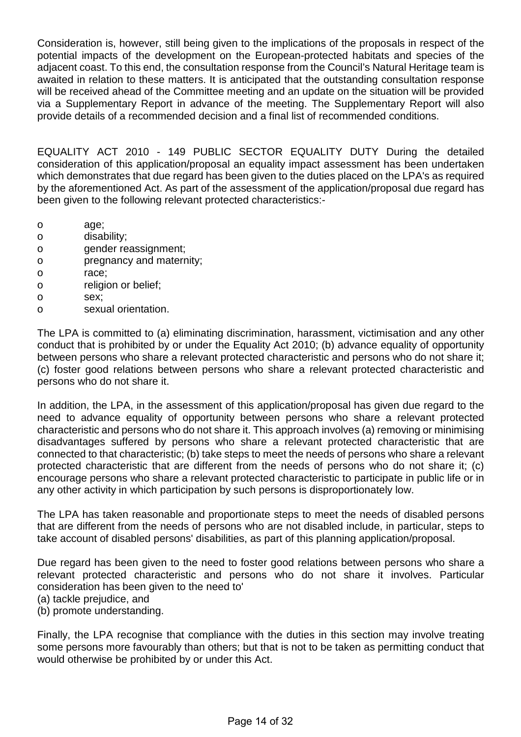Consideration is, however, still being given to the implications of the proposals in respect of the potential impacts of the development on the European-protected habitats and species of the adjacent coast. To this end, the consultation response from the Council's Natural Heritage team is awaited in relation to these matters. It is anticipated that the outstanding consultation response will be received ahead of the Committee meeting and an update on the situation will be provided via a Supplementary Report in advance of the meeting. The Supplementary Report will also provide details of a recommended decision and a final list of recommended conditions.

EQUALITY ACT 2010 - 149 PUBLIC SECTOR EQUALITY DUTY During the detailed consideration of this application/proposal an equality impact assessment has been undertaken which demonstrates that due regard has been given to the duties placed on the LPA's as required by the aforementioned Act. As part of the assessment of the application/proposal due regard has been given to the following relevant protected characteristics:-

- o age;
- o disability;
- o gender reassignment;
- o pregnancy and maternity;
- o race;
- o religion or belief;
- o sex;
- o sexual orientation.

The LPA is committed to (a) eliminating discrimination, harassment, victimisation and any other conduct that is prohibited by or under the Equality Act 2010; (b) advance equality of opportunity between persons who share a relevant protected characteristic and persons who do not share it; (c) foster good relations between persons who share a relevant protected characteristic and persons who do not share it.

In addition, the LPA, in the assessment of this application/proposal has given due regard to the need to advance equality of opportunity between persons who share a relevant protected characteristic and persons who do not share it. This approach involves (a) removing or minimising disadvantages suffered by persons who share a relevant protected characteristic that are connected to that characteristic; (b) take steps to meet the needs of persons who share a relevant protected characteristic that are different from the needs of persons who do not share it; (c) encourage persons who share a relevant protected characteristic to participate in public life or in any other activity in which participation by such persons is disproportionately low.

The LPA has taken reasonable and proportionate steps to meet the needs of disabled persons that are different from the needs of persons who are not disabled include, in particular, steps to take account of disabled persons' disabilities, as part of this planning application/proposal.

Due regard has been given to the need to foster good relations between persons who share a relevant protected characteristic and persons who do not share it involves. Particular consideration has been given to the need to'

(a) tackle prejudice, and

(b) promote understanding.

Finally, the LPA recognise that compliance with the duties in this section may involve treating some persons more favourably than others; but that is not to be taken as permitting conduct that would otherwise be prohibited by or under this Act.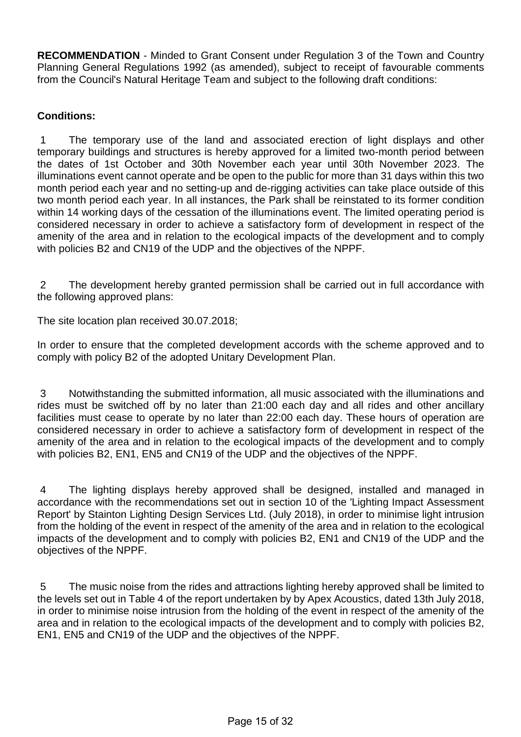**RECOMMENDATION** - Minded to Grant Consent under Regulation 3 of the Town and Country Planning General Regulations 1992 (as amended), subject to receipt of favourable comments from the Council's Natural Heritage Team and subject to the following draft conditions:

# **Conditions:**

 1 The temporary use of the land and associated erection of light displays and other temporary buildings and structures is hereby approved for a limited two-month period between the dates of 1st October and 30th November each year until 30th November 2023. The illuminations event cannot operate and be open to the public for more than 31 days within this two month period each year and no setting-up and de-rigging activities can take place outside of this two month period each year. In all instances, the Park shall be reinstated to its former condition within 14 working days of the cessation of the illuminations event. The limited operating period is considered necessary in order to achieve a satisfactory form of development in respect of the amenity of the area and in relation to the ecological impacts of the development and to comply with policies B2 and CN19 of the UDP and the objectives of the NPPF.

 2 The development hereby granted permission shall be carried out in full accordance with the following approved plans:

The site location plan received 30.07.2018;

In order to ensure that the completed development accords with the scheme approved and to comply with policy B2 of the adopted Unitary Development Plan.

 3 Notwithstanding the submitted information, all music associated with the illuminations and rides must be switched off by no later than 21:00 each day and all rides and other ancillary facilities must cease to operate by no later than 22:00 each day. These hours of operation are considered necessary in order to achieve a satisfactory form of development in respect of the amenity of the area and in relation to the ecological impacts of the development and to comply with policies B2, EN1, EN5 and CN19 of the UDP and the objectives of the NPPF.

 4 The lighting displays hereby approved shall be designed, installed and managed in accordance with the recommendations set out in section 10 of the 'Lighting Impact Assessment Report' by Stainton Lighting Design Services Ltd. (July 2018), in order to minimise light intrusion from the holding of the event in respect of the amenity of the area and in relation to the ecological impacts of the development and to comply with policies B2, EN1 and CN19 of the UDP and the objectives of the NPPF.

 5 The music noise from the rides and attractions lighting hereby approved shall be limited to the levels set out in Table 4 of the report undertaken by by Apex Acoustics, dated 13th July 2018, in order to minimise noise intrusion from the holding of the event in respect of the amenity of the area and in relation to the ecological impacts of the development and to comply with policies B2, EN1, EN5 and CN19 of the UDP and the objectives of the NPPF.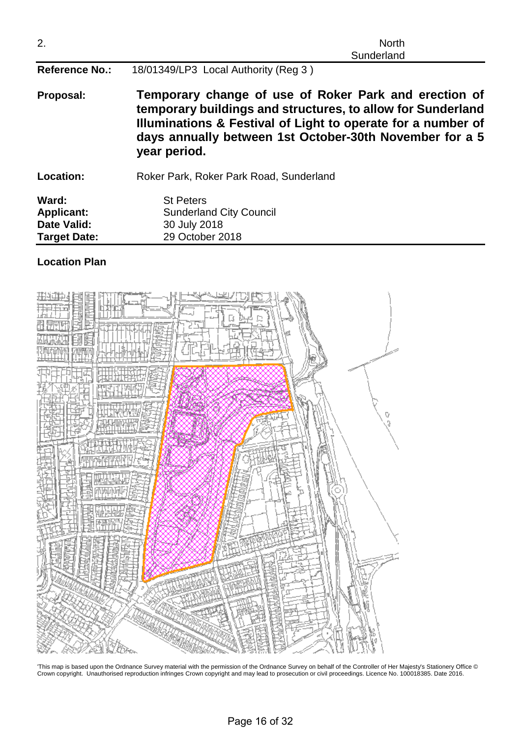| 2.                                                                      | <b>North</b><br>Sunderland                                                                                                                                                                                                                                      |  |  |
|-------------------------------------------------------------------------|-----------------------------------------------------------------------------------------------------------------------------------------------------------------------------------------------------------------------------------------------------------------|--|--|
| <b>Reference No.:</b>                                                   | 18/01349/LP3 Local Authority (Reg 3)                                                                                                                                                                                                                            |  |  |
| Proposal:                                                               | Temporary change of use of Roker Park and erection of<br>temporary buildings and structures, to allow for Sunderland<br>Illuminations & Festival of Light to operate for a number of<br>days annually between 1st October-30th November for a 5<br>year period. |  |  |
| Location:                                                               | Roker Park, Roker Park Road, Sunderland                                                                                                                                                                                                                         |  |  |
| Ward:<br><b>Applicant:</b><br><b>Date Valid:</b><br><b>Target Date:</b> | <b>St Peters</b><br><b>Sunderland City Council</b><br>30 July 2018<br>29 October 2018                                                                                                                                                                           |  |  |

#### **Location Plan**



'This map is based upon the Ordnance Survey material with the permission of the Ordnance Survey on behalf of the Controller of Her Majesty's Stationery Office © Crown copyright. Unauthorised reproduction infringes Crown copyright and may lead to prosecution or civil proceedings. Licence No. 100018385. Date 2016.

Page 16 of 32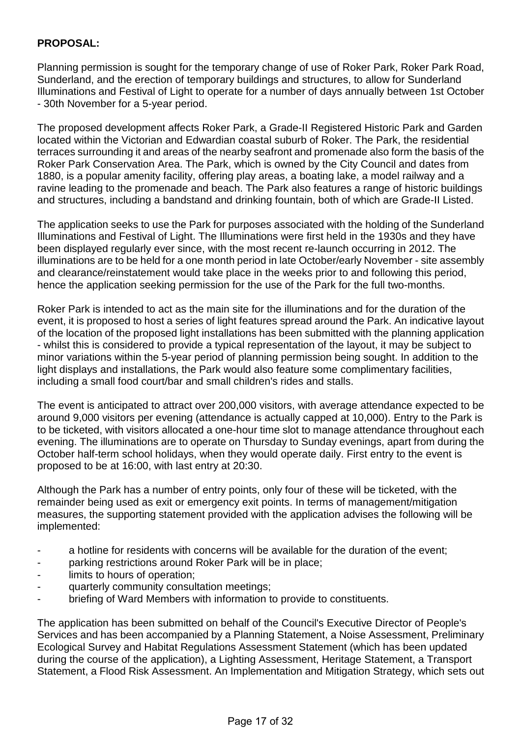## **PROPOSAL:**

Planning permission is sought for the temporary change of use of Roker Park, Roker Park Road, Sunderland, and the erection of temporary buildings and structures, to allow for Sunderland Illuminations and Festival of Light to operate for a number of days annually between 1st October - 30th November for a 5-year period.

The proposed development affects Roker Park, a Grade-II Registered Historic Park and Garden located within the Victorian and Edwardian coastal suburb of Roker. The Park, the residential terraces surrounding it and areas of the nearby seafront and promenade also form the basis of the Roker Park Conservation Area. The Park, which is owned by the City Council and dates from 1880, is a popular amenity facility, offering play areas, a boating lake, a model railway and a ravine leading to the promenade and beach. The Park also features a range of historic buildings and structures, including a bandstand and drinking fountain, both of which are Grade-II Listed.

The application seeks to use the Park for purposes associated with the holding of the Sunderland Illuminations and Festival of Light. The Illuminations were first held in the 1930s and they have been displayed regularly ever since, with the most recent re-launch occurring in 2012. The illuminations are to be held for a one month period in late October/early November - site assembly and clearance/reinstatement would take place in the weeks prior to and following this period, hence the application seeking permission for the use of the Park for the full two-months.

Roker Park is intended to act as the main site for the illuminations and for the duration of the event, it is proposed to host a series of light features spread around the Park. An indicative layout of the location of the proposed light installations has been submitted with the planning application - whilst this is considered to provide a typical representation of the layout, it may be subject to minor variations within the 5-year period of planning permission being sought. In addition to the light displays and installations, the Park would also feature some complimentary facilities, including a small food court/bar and small children's rides and stalls.

The event is anticipated to attract over 200,000 visitors, with average attendance expected to be around 9,000 visitors per evening (attendance is actually capped at 10,000). Entry to the Park is to be ticketed, with visitors allocated a one-hour time slot to manage attendance throughout each evening. The illuminations are to operate on Thursday to Sunday evenings, apart from during the October half-term school holidays, when they would operate daily. First entry to the event is proposed to be at 16:00, with last entry at 20:30.

Although the Park has a number of entry points, only four of these will be ticketed, with the remainder being used as exit or emergency exit points. In terms of management/mitigation measures, the supporting statement provided with the application advises the following will be implemented:

- a hotline for residents with concerns will be available for the duration of the event:
- parking restrictions around Roker Park will be in place:
- limits to hours of operation;
- quarterly community consultation meetings;
- briefing of Ward Members with information to provide to constituents.

The application has been submitted on behalf of the Council's Executive Director of People's Services and has been accompanied by a Planning Statement, a Noise Assessment, Preliminary Ecological Survey and Habitat Regulations Assessment Statement (which has been updated during the course of the application), a Lighting Assessment, Heritage Statement, a Transport Statement, a Flood Risk Assessment. An Implementation and Mitigation Strategy, which sets out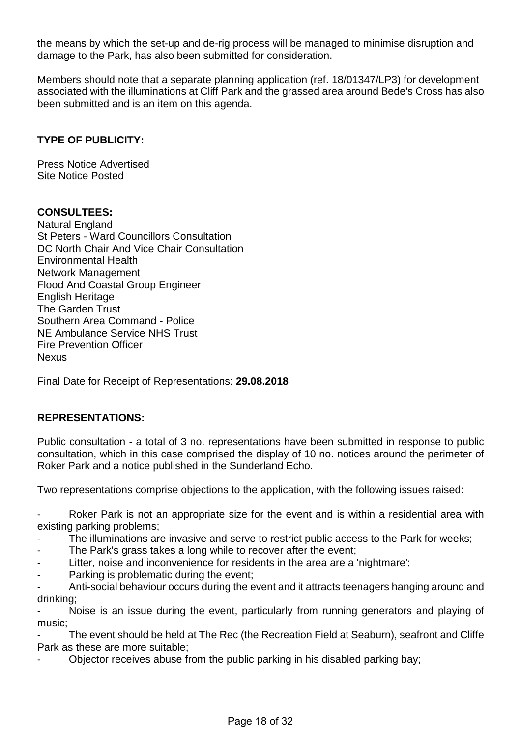the means by which the set-up and de-rig process will be managed to minimise disruption and damage to the Park, has also been submitted for consideration.

Members should note that a separate planning application (ref. 18/01347/LP3) for development associated with the illuminations at Cliff Park and the grassed area around Bede's Cross has also been submitted and is an item on this agenda.

# **TYPE OF PUBLICITY:**

Press Notice Advertised Site Notice Posted

#### **CONSULTEES:**

Natural England St Peters - Ward Councillors Consultation DC North Chair And Vice Chair Consultation Environmental Health Network Management Flood And Coastal Group Engineer English Heritage The Garden Trust Southern Area Command - Police NE Ambulance Service NHS Trust Fire Prevention Officer **Nexus** 

Final Date for Receipt of Representations: **29.08.2018**

#### **REPRESENTATIONS:**

Public consultation - a total of 3 no. representations have been submitted in response to public consultation, which in this case comprised the display of 10 no. notices around the perimeter of Roker Park and a notice published in the Sunderland Echo.

Two representations comprise objections to the application, with the following issues raised:

- Roker Park is not an appropriate size for the event and is within a residential area with existing parking problems;

- The illuminations are invasive and serve to restrict public access to the Park for weeks;
- The Park's grass takes a long while to recover after the event:
- Litter, noise and inconvenience for residents in the area are a 'nightmare';
- Parking is problematic during the event;

Anti-social behaviour occurs during the event and it attracts teenagers hanging around and drinking;

Noise is an issue during the event, particularly from running generators and playing of music;

The event should be held at The Rec (the Recreation Field at Seaburn), seafront and Cliffe Park as these are more suitable;

- Objector receives abuse from the public parking in his disabled parking bay;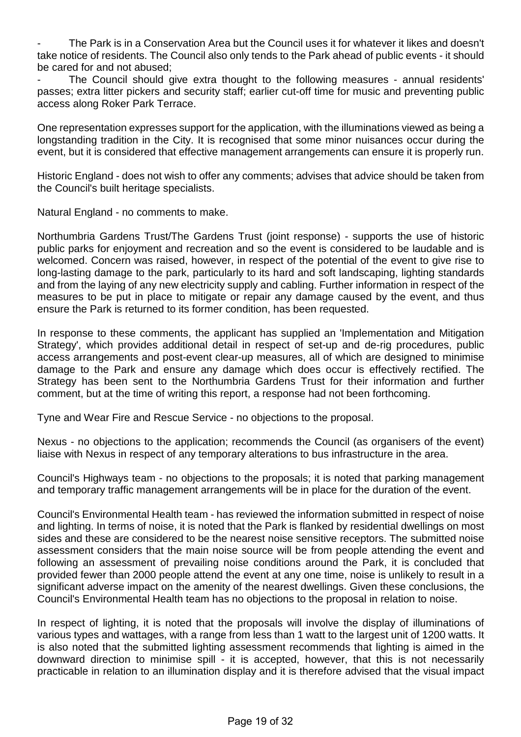The Park is in a Conservation Area but the Council uses it for whatever it likes and doesn't take notice of residents. The Council also only tends to the Park ahead of public events - it should be cared for and not abused;

The Council should give extra thought to the following measures - annual residents' passes; extra litter pickers and security staff; earlier cut-off time for music and preventing public access along Roker Park Terrace.

One representation expresses support for the application, with the illuminations viewed as being a longstanding tradition in the City. It is recognised that some minor nuisances occur during the event, but it is considered that effective management arrangements can ensure it is properly run.

Historic England - does not wish to offer any comments; advises that advice should be taken from the Council's built heritage specialists.

Natural England - no comments to make.

Northumbria Gardens Trust/The Gardens Trust (joint response) - supports the use of historic public parks for enjoyment and recreation and so the event is considered to be laudable and is welcomed. Concern was raised, however, in respect of the potential of the event to give rise to long-lasting damage to the park, particularly to its hard and soft landscaping, lighting standards and from the laying of any new electricity supply and cabling. Further information in respect of the measures to be put in place to mitigate or repair any damage caused by the event, and thus ensure the Park is returned to its former condition, has been requested.

In response to these comments, the applicant has supplied an 'Implementation and Mitigation Strategy', which provides additional detail in respect of set-up and de-rig procedures, public access arrangements and post-event clear-up measures, all of which are designed to minimise damage to the Park and ensure any damage which does occur is effectively rectified. The Strategy has been sent to the Northumbria Gardens Trust for their information and further comment, but at the time of writing this report, a response had not been forthcoming.

Tyne and Wear Fire and Rescue Service - no objections to the proposal.

Nexus - no objections to the application; recommends the Council (as organisers of the event) liaise with Nexus in respect of any temporary alterations to bus infrastructure in the area.

Council's Highways team - no objections to the proposals; it is noted that parking management and temporary traffic management arrangements will be in place for the duration of the event.

Council's Environmental Health team - has reviewed the information submitted in respect of noise and lighting. In terms of noise, it is noted that the Park is flanked by residential dwellings on most sides and these are considered to be the nearest noise sensitive receptors. The submitted noise assessment considers that the main noise source will be from people attending the event and following an assessment of prevailing noise conditions around the Park, it is concluded that provided fewer than 2000 people attend the event at any one time, noise is unlikely to result in a significant adverse impact on the amenity of the nearest dwellings. Given these conclusions, the Council's Environmental Health team has no objections to the proposal in relation to noise.

In respect of lighting, it is noted that the proposals will involve the display of illuminations of various types and wattages, with a range from less than 1 watt to the largest unit of 1200 watts. It is also noted that the submitted lighting assessment recommends that lighting is aimed in the downward direction to minimise spill - it is accepted, however, that this is not necessarily practicable in relation to an illumination display and it is therefore advised that the visual impact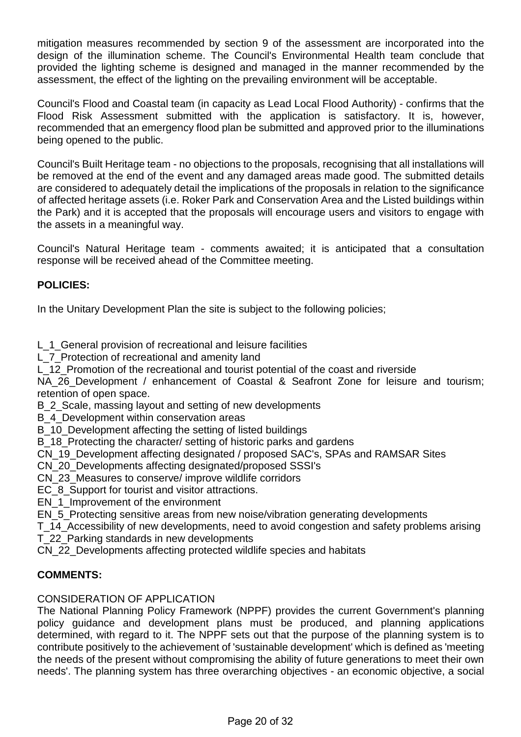mitigation measures recommended by section 9 of the assessment are incorporated into the design of the illumination scheme. The Council's Environmental Health team conclude that provided the lighting scheme is designed and managed in the manner recommended by the assessment, the effect of the lighting on the prevailing environment will be acceptable.

Council's Flood and Coastal team (in capacity as Lead Local Flood Authority) - confirms that the Flood Risk Assessment submitted with the application is satisfactory. It is, however, recommended that an emergency flood plan be submitted and approved prior to the illuminations being opened to the public.

Council's Built Heritage team - no objections to the proposals, recognising that all installations will be removed at the end of the event and any damaged areas made good. The submitted details are considered to adequately detail the implications of the proposals in relation to the significance of affected heritage assets (i.e. Roker Park and Conservation Area and the Listed buildings within the Park) and it is accepted that the proposals will encourage users and visitors to engage with the assets in a meaningful way.

Council's Natural Heritage team - comments awaited; it is anticipated that a consultation response will be received ahead of the Committee meeting.

# **POLICIES:**

In the Unitary Development Plan the site is subject to the following policies;

L 1 General provision of recreational and leisure facilities

L\_7\_Protection of recreational and amenity land

L 12 Promotion of the recreational and tourist potential of the coast and riverside

NA 26 Development / enhancement of Coastal & Seafront Zone for leisure and tourism; retention of open space.

B\_2\_Scale, massing layout and setting of new developments

B\_4\_Development within conservation areas

B 10 Development affecting the setting of listed buildings

B 18 Protecting the character/ setting of historic parks and gardens

CN\_19\_Development affecting designated / proposed SAC's, SPAs and RAMSAR Sites

CN\_20\_Developments affecting designated/proposed SSSI's

CN\_23\_Measures to conserve/ improve wildlife corridors

EC 8 Support for tourist and visitor attractions.

EN 1 Improvement of the environment

EN 5 Protecting sensitive areas from new noise/vibration generating developments

T\_14\_Accessibility of new developments, need to avoid congestion and safety problems arising

T\_22\_Parking standards in new developments

CN\_22\_Developments affecting protected wildlife species and habitats

# **COMMENTS:**

# CONSIDERATION OF APPLICATION

The National Planning Policy Framework (NPPF) provides the current Government's planning policy guidance and development plans must be produced, and planning applications determined, with regard to it. The NPPF sets out that the purpose of the planning system is to contribute positively to the achievement of 'sustainable development' which is defined as 'meeting the needs of the present without compromising the ability of future generations to meet their own needs'. The planning system has three overarching objectives - an economic objective, a social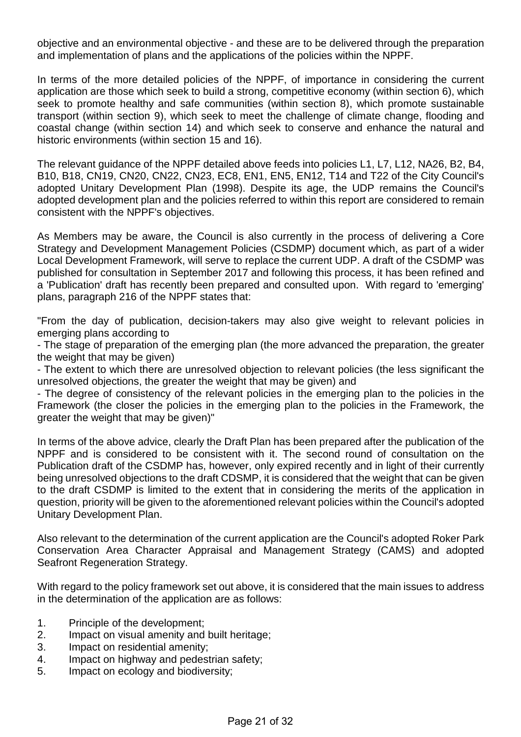objective and an environmental objective - and these are to be delivered through the preparation and implementation of plans and the applications of the policies within the NPPF.

In terms of the more detailed policies of the NPPF, of importance in considering the current application are those which seek to build a strong, competitive economy (within section 6), which seek to promote healthy and safe communities (within section 8), which promote sustainable transport (within section 9), which seek to meet the challenge of climate change, flooding and coastal change (within section 14) and which seek to conserve and enhance the natural and historic environments (within section 15 and 16).

The relevant guidance of the NPPF detailed above feeds into policies L1, L7, L12, NA26, B2, B4, B10, B18, CN19, CN20, CN22, CN23, EC8, EN1, EN5, EN12, T14 and T22 of the City Council's adopted Unitary Development Plan (1998). Despite its age, the UDP remains the Council's adopted development plan and the policies referred to within this report are considered to remain consistent with the NPPF's objectives.

As Members may be aware, the Council is also currently in the process of delivering a Core Strategy and Development Management Policies (CSDMP) document which, as part of a wider Local Development Framework, will serve to replace the current UDP. A draft of the CSDMP was published for consultation in September 2017 and following this process, it has been refined and a 'Publication' draft has recently been prepared and consulted upon. With regard to 'emerging' plans, paragraph 216 of the NPPF states that:

"From the day of publication, decision-takers may also give weight to relevant policies in emerging plans according to

- The stage of preparation of the emerging plan (the more advanced the preparation, the greater the weight that may be given)

- The extent to which there are unresolved objection to relevant policies (the less significant the unresolved objections, the greater the weight that may be given) and

- The degree of consistency of the relevant policies in the emerging plan to the policies in the Framework (the closer the policies in the emerging plan to the policies in the Framework, the greater the weight that may be given)"

In terms of the above advice, clearly the Draft Plan has been prepared after the publication of the NPPF and is considered to be consistent with it. The second round of consultation on the Publication draft of the CSDMP has, however, only expired recently and in light of their currently being unresolved objections to the draft CDSMP, it is considered that the weight that can be given to the draft CSDMP is limited to the extent that in considering the merits of the application in question, priority will be given to the aforementioned relevant policies within the Council's adopted Unitary Development Plan.

Also relevant to the determination of the current application are the Council's adopted Roker Park Conservation Area Character Appraisal and Management Strategy (CAMS) and adopted Seafront Regeneration Strategy.

With regard to the policy framework set out above, it is considered that the main issues to address in the determination of the application are as follows:

- 1. Principle of the development;
- 2. Impact on visual amenity and built heritage;
- 3. Impact on residential amenity;
- 4. Impact on highway and pedestrian safety;
- 5. Impact on ecology and biodiversity;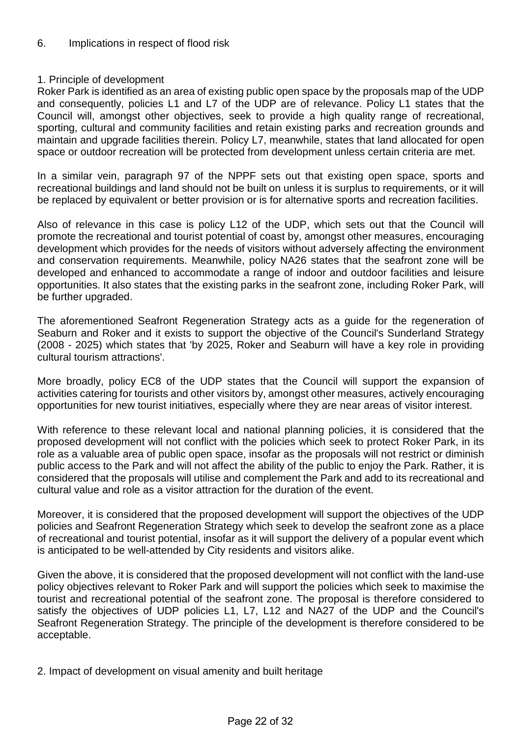# 1. Principle of development

Roker Park is identified as an area of existing public open space by the proposals map of the UDP and consequently, policies L1 and L7 of the UDP are of relevance. Policy L1 states that the Council will, amongst other objectives, seek to provide a high quality range of recreational, sporting, cultural and community facilities and retain existing parks and recreation grounds and maintain and upgrade facilities therein. Policy L7, meanwhile, states that land allocated for open space or outdoor recreation will be protected from development unless certain criteria are met.

In a similar vein, paragraph 97 of the NPPF sets out that existing open space, sports and recreational buildings and land should not be built on unless it is surplus to requirements, or it will be replaced by equivalent or better provision or is for alternative sports and recreation facilities.

Also of relevance in this case is policy L12 of the UDP, which sets out that the Council will promote the recreational and tourist potential of coast by, amongst other measures, encouraging development which provides for the needs of visitors without adversely affecting the environment and conservation requirements. Meanwhile, policy NA26 states that the seafront zone will be developed and enhanced to accommodate a range of indoor and outdoor facilities and leisure opportunities. It also states that the existing parks in the seafront zone, including Roker Park, will be further upgraded.

The aforementioned Seafront Regeneration Strategy acts as a guide for the regeneration of Seaburn and Roker and it exists to support the objective of the Council's Sunderland Strategy (2008 - 2025) which states that 'by 2025, Roker and Seaburn will have a key role in providing cultural tourism attractions'.

More broadly, policy EC8 of the UDP states that the Council will support the expansion of activities catering for tourists and other visitors by, amongst other measures, actively encouraging opportunities for new tourist initiatives, especially where they are near areas of visitor interest.

With reference to these relevant local and national planning policies, it is considered that the proposed development will not conflict with the policies which seek to protect Roker Park, in its role as a valuable area of public open space, insofar as the proposals will not restrict or diminish public access to the Park and will not affect the ability of the public to enjoy the Park. Rather, it is considered that the proposals will utilise and complement the Park and add to its recreational and cultural value and role as a visitor attraction for the duration of the event.

Moreover, it is considered that the proposed development will support the objectives of the UDP policies and Seafront Regeneration Strategy which seek to develop the seafront zone as a place of recreational and tourist potential, insofar as it will support the delivery of a popular event which is anticipated to be well-attended by City residents and visitors alike.

Given the above, it is considered that the proposed development will not conflict with the land-use policy objectives relevant to Roker Park and will support the policies which seek to maximise the tourist and recreational potential of the seafront zone. The proposal is therefore considered to satisfy the objectives of UDP policies L1, L7, L12 and NA27 of the UDP and the Council's Seafront Regeneration Strategy. The principle of the development is therefore considered to be acceptable.

2. Impact of development on visual amenity and built heritage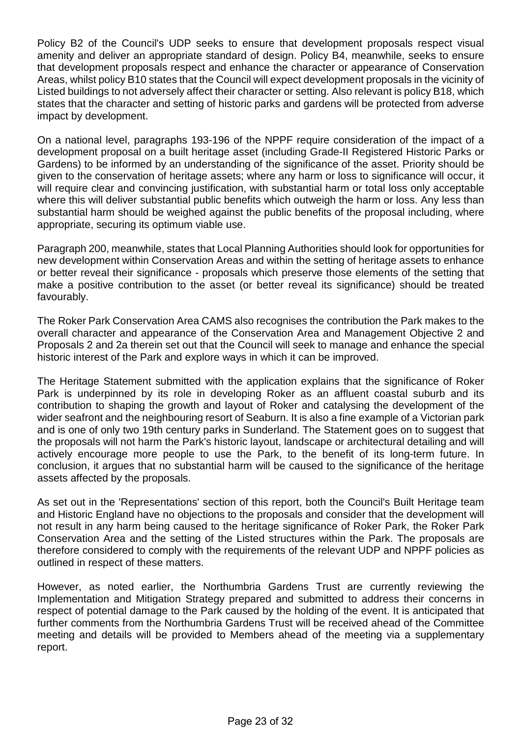Policy B2 of the Council's UDP seeks to ensure that development proposals respect visual amenity and deliver an appropriate standard of design. Policy B4, meanwhile, seeks to ensure that development proposals respect and enhance the character or appearance of Conservation Areas, whilst policy B10 states that the Council will expect development proposals in the vicinity of Listed buildings to not adversely affect their character or setting. Also relevant is policy B18, which states that the character and setting of historic parks and gardens will be protected from adverse impact by development.

On a national level, paragraphs 193-196 of the NPPF require consideration of the impact of a development proposal on a built heritage asset (including Grade-II Registered Historic Parks or Gardens) to be informed by an understanding of the significance of the asset. Priority should be given to the conservation of heritage assets; where any harm or loss to significance will occur, it will require clear and convincing justification, with substantial harm or total loss only acceptable where this will deliver substantial public benefits which outweigh the harm or loss. Any less than substantial harm should be weighed against the public benefits of the proposal including, where appropriate, securing its optimum viable use.

Paragraph 200, meanwhile, states that Local Planning Authorities should look for opportunities for new development within Conservation Areas and within the setting of heritage assets to enhance or better reveal their significance - proposals which preserve those elements of the setting that make a positive contribution to the asset (or better reveal its significance) should be treated favourably.

The Roker Park Conservation Area CAMS also recognises the contribution the Park makes to the overall character and appearance of the Conservation Area and Management Objective 2 and Proposals 2 and 2a therein set out that the Council will seek to manage and enhance the special historic interest of the Park and explore ways in which it can be improved.

The Heritage Statement submitted with the application explains that the significance of Roker Park is underpinned by its role in developing Roker as an affluent coastal suburb and its contribution to shaping the growth and layout of Roker and catalysing the development of the wider seafront and the neighbouring resort of Seaburn. It is also a fine example of a Victorian park and is one of only two 19th century parks in Sunderland. The Statement goes on to suggest that the proposals will not harm the Park's historic layout, landscape or architectural detailing and will actively encourage more people to use the Park, to the benefit of its long-term future. In conclusion, it argues that no substantial harm will be caused to the significance of the heritage assets affected by the proposals.

As set out in the 'Representations' section of this report, both the Council's Built Heritage team and Historic England have no objections to the proposals and consider that the development will not result in any harm being caused to the heritage significance of Roker Park, the Roker Park Conservation Area and the setting of the Listed structures within the Park. The proposals are therefore considered to comply with the requirements of the relevant UDP and NPPF policies as outlined in respect of these matters.

However, as noted earlier, the Northumbria Gardens Trust are currently reviewing the Implementation and Mitigation Strategy prepared and submitted to address their concerns in respect of potential damage to the Park caused by the holding of the event. It is anticipated that further comments from the Northumbria Gardens Trust will be received ahead of the Committee meeting and details will be provided to Members ahead of the meeting via a supplementary report.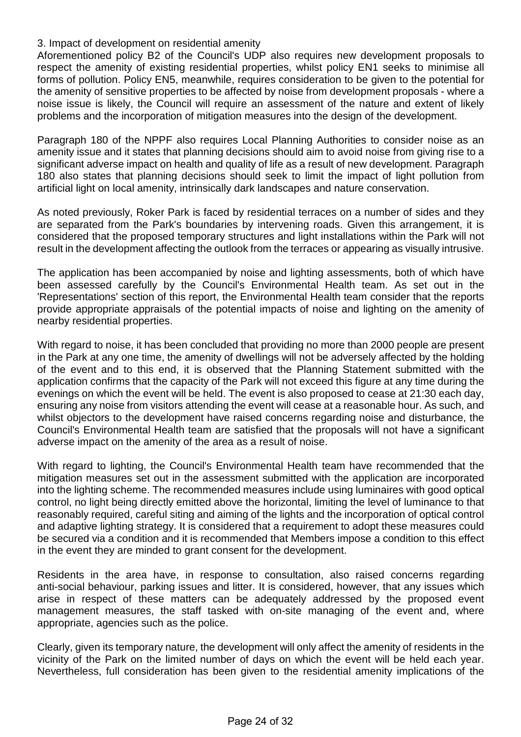3. Impact of development on residential amenity

Aforementioned policy B2 of the Council's UDP also requires new development proposals to respect the amenity of existing residential properties, whilst policy EN1 seeks to minimise all forms of pollution. Policy EN5, meanwhile, requires consideration to be given to the potential for the amenity of sensitive properties to be affected by noise from development proposals - where a noise issue is likely, the Council will require an assessment of the nature and extent of likely problems and the incorporation of mitigation measures into the design of the development.

Paragraph 180 of the NPPF also requires Local Planning Authorities to consider noise as an amenity issue and it states that planning decisions should aim to avoid noise from giving rise to a significant adverse impact on health and quality of life as a result of new development. Paragraph 180 also states that planning decisions should seek to limit the impact of light pollution from artificial light on local amenity, intrinsically dark landscapes and nature conservation.

As noted previously, Roker Park is faced by residential terraces on a number of sides and they are separated from the Park's boundaries by intervening roads. Given this arrangement, it is considered that the proposed temporary structures and light installations within the Park will not result in the development affecting the outlook from the terraces or appearing as visually intrusive.

The application has been accompanied by noise and lighting assessments, both of which have been assessed carefully by the Council's Environmental Health team. As set out in the 'Representations' section of this report, the Environmental Health team consider that the reports provide appropriate appraisals of the potential impacts of noise and lighting on the amenity of nearby residential properties.

With regard to noise, it has been concluded that providing no more than 2000 people are present in the Park at any one time, the amenity of dwellings will not be adversely affected by the holding of the event and to this end, it is observed that the Planning Statement submitted with the application confirms that the capacity of the Park will not exceed this figure at any time during the evenings on which the event will be held. The event is also proposed to cease at 21:30 each day, ensuring any noise from visitors attending the event will cease at a reasonable hour. As such, and whilst objectors to the development have raised concerns regarding noise and disturbance, the Council's Environmental Health team are satisfied that the proposals will not have a significant adverse impact on the amenity of the area as a result of noise.

With regard to lighting, the Council's Environmental Health team have recommended that the mitigation measures set out in the assessment submitted with the application are incorporated into the lighting scheme. The recommended measures include using luminaires with good optical control, no light being directly emitted above the horizontal, limiting the level of luminance to that reasonably required, careful siting and aiming of the lights and the incorporation of optical control and adaptive lighting strategy. It is considered that a requirement to adopt these measures could be secured via a condition and it is recommended that Members impose a condition to this effect in the event they are minded to grant consent for the development.

Residents in the area have, in response to consultation, also raised concerns regarding anti-social behaviour, parking issues and litter. It is considered, however, that any issues which arise in respect of these matters can be adequately addressed by the proposed event management measures, the staff tasked with on-site managing of the event and, where appropriate, agencies such as the police.

Clearly, given its temporary nature, the development will only affect the amenity of residents in the vicinity of the Park on the limited number of days on which the event will be held each year. Nevertheless, full consideration has been given to the residential amenity implications of the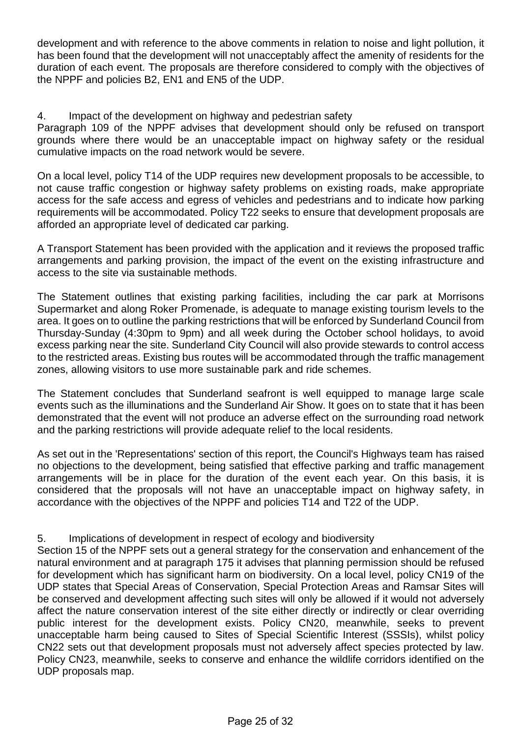development and with reference to the above comments in relation to noise and light pollution, it has been found that the development will not unacceptably affect the amenity of residents for the duration of each event. The proposals are therefore considered to comply with the objectives of the NPPF and policies B2, EN1 and EN5 of the UDP.

4. Impact of the development on highway and pedestrian safety

Paragraph 109 of the NPPF advises that development should only be refused on transport grounds where there would be an unacceptable impact on highway safety or the residual cumulative impacts on the road network would be severe.

On a local level, policy T14 of the UDP requires new development proposals to be accessible, to not cause traffic congestion or highway safety problems on existing roads, make appropriate access for the safe access and egress of vehicles and pedestrians and to indicate how parking requirements will be accommodated. Policy T22 seeks to ensure that development proposals are afforded an appropriate level of dedicated car parking.

A Transport Statement has been provided with the application and it reviews the proposed traffic arrangements and parking provision, the impact of the event on the existing infrastructure and access to the site via sustainable methods.

The Statement outlines that existing parking facilities, including the car park at Morrisons Supermarket and along Roker Promenade, is adequate to manage existing tourism levels to the area. It goes on to outline the parking restrictions that will be enforced by Sunderland Council from Thursday-Sunday (4:30pm to 9pm) and all week during the October school holidays, to avoid excess parking near the site. Sunderland City Council will also provide stewards to control access to the restricted areas. Existing bus routes will be accommodated through the traffic management zones, allowing visitors to use more sustainable park and ride schemes.

The Statement concludes that Sunderland seafront is well equipped to manage large scale events such as the illuminations and the Sunderland Air Show. It goes on to state that it has been demonstrated that the event will not produce an adverse effect on the surrounding road network and the parking restrictions will provide adequate relief to the local residents.

As set out in the 'Representations' section of this report, the Council's Highways team has raised no objections to the development, being satisfied that effective parking and traffic management arrangements will be in place for the duration of the event each year. On this basis, it is considered that the proposals will not have an unacceptable impact on highway safety, in accordance with the objectives of the NPPF and policies T14 and T22 of the UDP.

5. Implications of development in respect of ecology and biodiversity

Section 15 of the NPPF sets out a general strategy for the conservation and enhancement of the natural environment and at paragraph 175 it advises that planning permission should be refused for development which has significant harm on biodiversity. On a local level, policy CN19 of the UDP states that Special Areas of Conservation, Special Protection Areas and Ramsar Sites will be conserved and development affecting such sites will only be allowed if it would not adversely affect the nature conservation interest of the site either directly or indirectly or clear overriding public interest for the development exists. Policy CN20, meanwhile, seeks to prevent unacceptable harm being caused to Sites of Special Scientific Interest (SSSIs), whilst policy CN22 sets out that development proposals must not adversely affect species protected by law. Policy CN23, meanwhile, seeks to conserve and enhance the wildlife corridors identified on the UDP proposals map.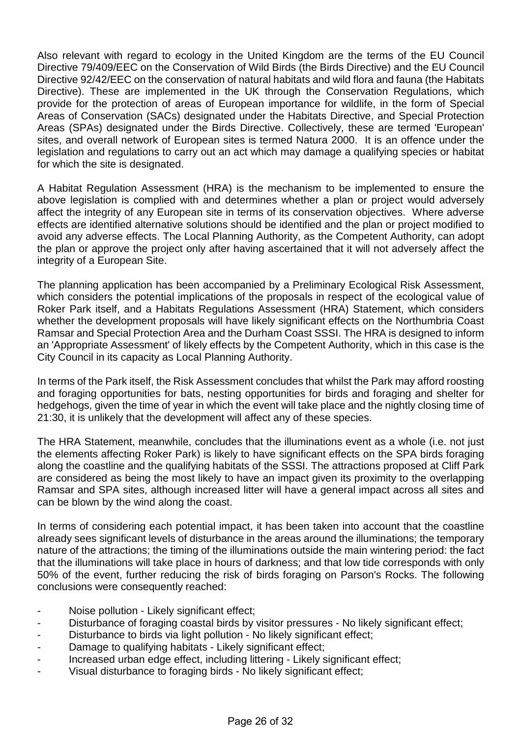Also relevant with regard to ecology in the United Kingdom are the terms of the EU Council Directive 79/409/EEC on the Conservation of Wild Birds (the Birds Directive) and the EU Council Directive 92/42/EEC on the conservation of natural habitats and wild flora and fauna (the Habitats Directive). These are implemented in the UK through the Conservation Regulations, which provide for the protection of areas of European importance for wildlife, in the form of Special Areas of Conservation (SACs) designated under the Habitats Directive, and Special Protection Areas (SPAs) designated under the Birds Directive. Collectively, these are termed 'European' sites, and overall network of European sites is termed Natura 2000. It is an offence under the legislation and regulations to carry out an act which may damage a qualifying species or habitat for which the site is designated.

A Habitat Regulation Assessment (HRA) is the mechanism to be implemented to ensure the above legislation is complied with and determines whether a plan or project would adversely affect the integrity of any European site in terms of its conservation objectives. Where adverse effects are identified alternative solutions should be identified and the plan or project modified to avoid any adverse effects. The Local Planning Authority, as the Competent Authority, can adopt the plan or approve the project only after having ascertained that it will not adversely affect the integrity of a European Site.

The planning application has been accompanied by a Preliminary Ecological Risk Assessment, which considers the potential implications of the proposals in respect of the ecological value of Roker Park itself, and a Habitats Regulations Assessment (HRA) Statement, which considers whether the development proposals will have likely significant effects on the Northumbria Coast Ramsar and Special Protection Area and the Durham Coast SSSI. The HRA is designed to inform an 'Appropriate Assessment' of likely effects by the Competent Authority, which in this case is the City Council in its capacity as Local Planning Authority.

In terms of the Park itself, the Risk Assessment concludes that whilst the Park may afford roosting and foraging opportunities for bats, nesting opportunities for birds and foraging and shelter for hedgehogs, given the time of year in which the event will take place and the nightly closing time of 21:30, it is unlikely that the development will affect any of these species.

The HRA Statement, meanwhile, concludes that the illuminations event as a whole (i.e. not just the elements affecting Roker Park) is likely to have significant effects on the SPA birds foraging along the coastline and the qualifying habitats of the SSSI. The attractions proposed at Cliff Park are considered as being the most likely to have an impact given its proximity to the overlapping Ramsar and SPA sites, although increased litter will have a general impact across all sites and can be blown by the wind along the coast.

In terms of considering each potential impact, it has been taken into account that the coastline already sees significant levels of disturbance in the areas around the illuminations; the temporary nature of the attractions; the timing of the illuminations outside the main wintering period: the fact that the illuminations will take place in hours of darkness; and that low tide corresponds with only 50% of the event, further reducing the risk of birds foraging on Parson's Rocks. The following conclusions were consequently reached:

- Noise pollution Likely significant effect;
- Disturbance of foraging coastal birds by visitor pressures No likely significant effect;
- Disturbance to birds via light pollution No likely significant effect;
- Damage to qualifying habitats Likely significant effect;
- Increased urban edge effect, including littering Likely significant effect;
- Visual disturbance to foraging birds No likely significant effect;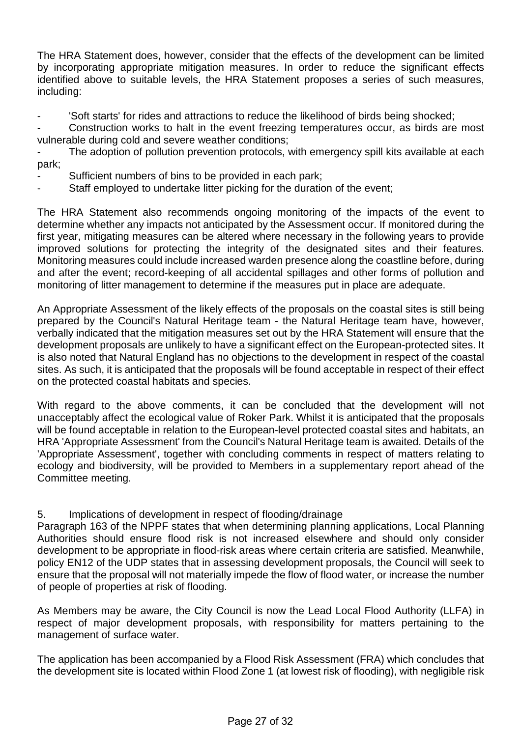The HRA Statement does, however, consider that the effects of the development can be limited by incorporating appropriate mitigation measures. In order to reduce the significant effects identified above to suitable levels, the HRA Statement proposes a series of such measures, including:

- 'Soft starts' for rides and attractions to reduce the likelihood of birds being shocked;

Construction works to halt in the event freezing temperatures occur, as birds are most vulnerable during cold and severe weather conditions;

The adoption of pollution prevention protocols, with emergency spill kits available at each park;

- Sufficient numbers of bins to be provided in each park;
- Staff employed to undertake litter picking for the duration of the event;

The HRA Statement also recommends ongoing monitoring of the impacts of the event to determine whether any impacts not anticipated by the Assessment occur. If monitored during the first year, mitigating measures can be altered where necessary in the following years to provide improved solutions for protecting the integrity of the designated sites and their features. Monitoring measures could include increased warden presence along the coastline before, during and after the event; record-keeping of all accidental spillages and other forms of pollution and monitoring of litter management to determine if the measures put in place are adequate.

An Appropriate Assessment of the likely effects of the proposals on the coastal sites is still being prepared by the Council's Natural Heritage team - the Natural Heritage team have, however, verbally indicated that the mitigation measures set out by the HRA Statement will ensure that the development proposals are unlikely to have a significant effect on the European-protected sites. It is also noted that Natural England has no objections to the development in respect of the coastal sites. As such, it is anticipated that the proposals will be found acceptable in respect of their effect on the protected coastal habitats and species.

With regard to the above comments, it can be concluded that the development will not unacceptably affect the ecological value of Roker Park. Whilst it is anticipated that the proposals will be found acceptable in relation to the European-level protected coastal sites and habitats, an HRA 'Appropriate Assessment' from the Council's Natural Heritage team is awaited. Details of the 'Appropriate Assessment', together with concluding comments in respect of matters relating to ecology and biodiversity, will be provided to Members in a supplementary report ahead of the Committee meeting.

# 5. Implications of development in respect of flooding/drainage

Paragraph 163 of the NPPF states that when determining planning applications, Local Planning Authorities should ensure flood risk is not increased elsewhere and should only consider development to be appropriate in flood-risk areas where certain criteria are satisfied. Meanwhile, policy EN12 of the UDP states that in assessing development proposals, the Council will seek to ensure that the proposal will not materially impede the flow of flood water, or increase the number of people of properties at risk of flooding.

As Members may be aware, the City Council is now the Lead Local Flood Authority (LLFA) in respect of major development proposals, with responsibility for matters pertaining to the management of surface water.

The application has been accompanied by a Flood Risk Assessment (FRA) which concludes that the development site is located within Flood Zone 1 (at lowest risk of flooding), with negligible risk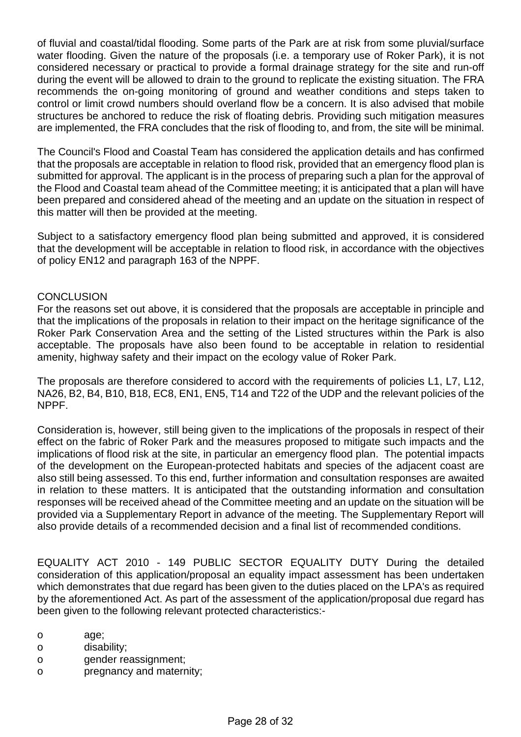of fluvial and coastal/tidal flooding. Some parts of the Park are at risk from some pluvial/surface water flooding. Given the nature of the proposals (i.e. a temporary use of Roker Park), it is not considered necessary or practical to provide a formal drainage strategy for the site and run-off during the event will be allowed to drain to the ground to replicate the existing situation. The FRA recommends the on-going monitoring of ground and weather conditions and steps taken to control or limit crowd numbers should overland flow be a concern. It is also advised that mobile structures be anchored to reduce the risk of floating debris. Providing such mitigation measures are implemented, the FRA concludes that the risk of flooding to, and from, the site will be minimal.

The Council's Flood and Coastal Team has considered the application details and has confirmed that the proposals are acceptable in relation to flood risk, provided that an emergency flood plan is submitted for approval. The applicant is in the process of preparing such a plan for the approval of the Flood and Coastal team ahead of the Committee meeting; it is anticipated that a plan will have been prepared and considered ahead of the meeting and an update on the situation in respect of this matter will then be provided at the meeting.

Subject to a satisfactory emergency flood plan being submitted and approved, it is considered that the development will be acceptable in relation to flood risk, in accordance with the objectives of policy EN12 and paragraph 163 of the NPPF.

## **CONCLUSION**

For the reasons set out above, it is considered that the proposals are acceptable in principle and that the implications of the proposals in relation to their impact on the heritage significance of the Roker Park Conservation Area and the setting of the Listed structures within the Park is also acceptable. The proposals have also been found to be acceptable in relation to residential amenity, highway safety and their impact on the ecology value of Roker Park.

The proposals are therefore considered to accord with the requirements of policies L1, L7, L12, NA26, B2, B4, B10, B18, EC8, EN1, EN5, T14 and T22 of the UDP and the relevant policies of the NPPF.

Consideration is, however, still being given to the implications of the proposals in respect of their effect on the fabric of Roker Park and the measures proposed to mitigate such impacts and the implications of flood risk at the site, in particular an emergency flood plan. The potential impacts of the development on the European-protected habitats and species of the adjacent coast are also still being assessed. To this end, further information and consultation responses are awaited in relation to these matters. It is anticipated that the outstanding information and consultation responses will be received ahead of the Committee meeting and an update on the situation will be provided via a Supplementary Report in advance of the meeting. The Supplementary Report will also provide details of a recommended decision and a final list of recommended conditions.

EQUALITY ACT 2010 - 149 PUBLIC SECTOR EQUALITY DUTY During the detailed consideration of this application/proposal an equality impact assessment has been undertaken which demonstrates that due regard has been given to the duties placed on the LPA's as required by the aforementioned Act. As part of the assessment of the application/proposal due regard has been given to the following relevant protected characteristics:-

- o age;
- o disability;
- o gender reassignment;
- o pregnancy and maternity;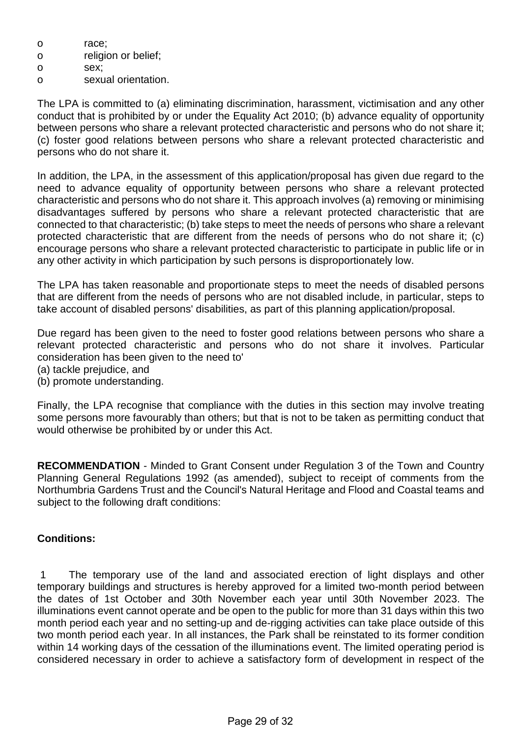- o race;
- o religion or belief;
- o sex;
- o sexual orientation.

The LPA is committed to (a) eliminating discrimination, harassment, victimisation and any other conduct that is prohibited by or under the Equality Act 2010; (b) advance equality of opportunity between persons who share a relevant protected characteristic and persons who do not share it; (c) foster good relations between persons who share a relevant protected characteristic and persons who do not share it.

In addition, the LPA, in the assessment of this application/proposal has given due regard to the need to advance equality of opportunity between persons who share a relevant protected characteristic and persons who do not share it. This approach involves (a) removing or minimising disadvantages suffered by persons who share a relevant protected characteristic that are connected to that characteristic; (b) take steps to meet the needs of persons who share a relevant protected characteristic that are different from the needs of persons who do not share it; (c) encourage persons who share a relevant protected characteristic to participate in public life or in any other activity in which participation by such persons is disproportionately low.

The LPA has taken reasonable and proportionate steps to meet the needs of disabled persons that are different from the needs of persons who are not disabled include, in particular, steps to take account of disabled persons' disabilities, as part of this planning application/proposal.

Due regard has been given to the need to foster good relations between persons who share a relevant protected characteristic and persons who do not share it involves. Particular consideration has been given to the need to'

- (a) tackle prejudice, and
- (b) promote understanding.

Finally, the LPA recognise that compliance with the duties in this section may involve treating some persons more favourably than others; but that is not to be taken as permitting conduct that would otherwise be prohibited by or under this Act.

**RECOMMENDATION** - Minded to Grant Consent under Regulation 3 of the Town and Country Planning General Regulations 1992 (as amended), subject to receipt of comments from the Northumbria Gardens Trust and the Council's Natural Heritage and Flood and Coastal teams and subject to the following draft conditions:

# **Conditions:**

 1 The temporary use of the land and associated erection of light displays and other temporary buildings and structures is hereby approved for a limited two-month period between the dates of 1st October and 30th November each year until 30th November 2023. The illuminations event cannot operate and be open to the public for more than 31 days within this two month period each year and no setting-up and de-rigging activities can take place outside of this two month period each year. In all instances, the Park shall be reinstated to its former condition within 14 working days of the cessation of the illuminations event. The limited operating period is considered necessary in order to achieve a satisfactory form of development in respect of the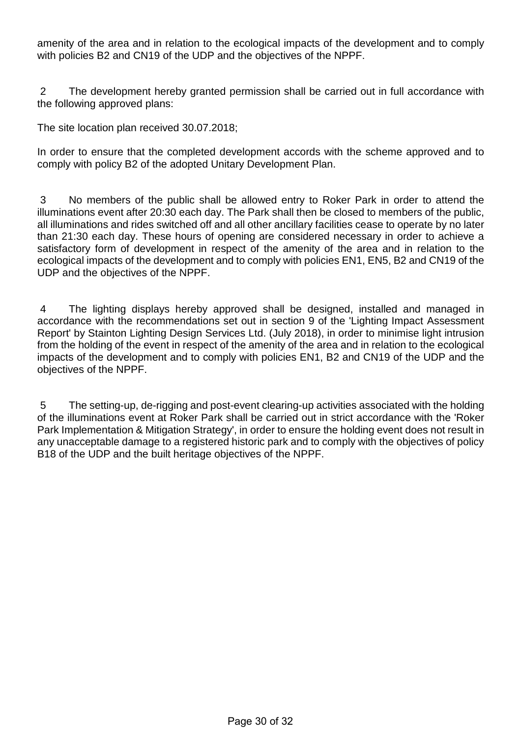amenity of the area and in relation to the ecological impacts of the development and to comply with policies B2 and CN19 of the UDP and the objectives of the NPPF.

 2 The development hereby granted permission shall be carried out in full accordance with the following approved plans:

The site location plan received 30.07.2018;

In order to ensure that the completed development accords with the scheme approved and to comply with policy B2 of the adopted Unitary Development Plan.

 3 No members of the public shall be allowed entry to Roker Park in order to attend the illuminations event after 20:30 each day. The Park shall then be closed to members of the public, all illuminations and rides switched off and all other ancillary facilities cease to operate by no later than 21:30 each day. These hours of opening are considered necessary in order to achieve a satisfactory form of development in respect of the amenity of the area and in relation to the ecological impacts of the development and to comply with policies EN1, EN5, B2 and CN19 of the UDP and the objectives of the NPPF.

 4 The lighting displays hereby approved shall be designed, installed and managed in accordance with the recommendations set out in section 9 of the 'Lighting Impact Assessment Report' by Stainton Lighting Design Services Ltd. (July 2018), in order to minimise light intrusion from the holding of the event in respect of the amenity of the area and in relation to the ecological impacts of the development and to comply with policies EN1, B2 and CN19 of the UDP and the objectives of the NPPF.

 5 The setting-up, de-rigging and post-event clearing-up activities associated with the holding of the illuminations event at Roker Park shall be carried out in strict accordance with the 'Roker Park Implementation & Mitigation Strategy', in order to ensure the holding event does not result in any unacceptable damage to a registered historic park and to comply with the objectives of policy B18 of the UDP and the built heritage objectives of the NPPF.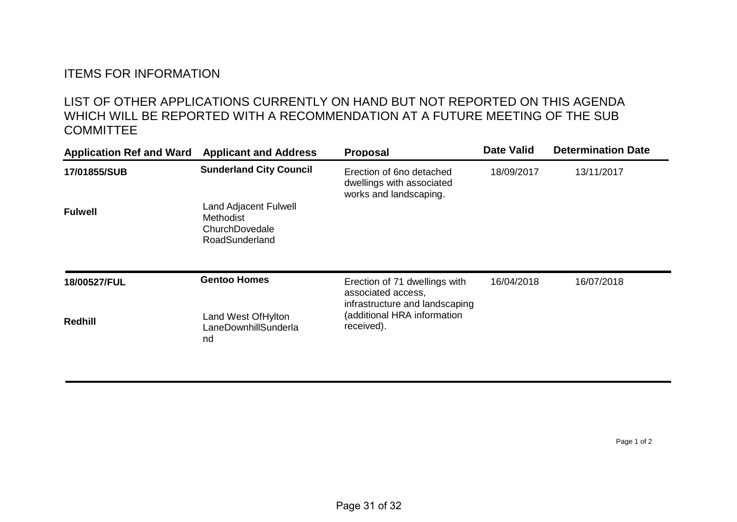# ITEMS FOR INFORMATION

# LIST OF OTHER APPLICATIONS CURRENTLY ON HAND BUT NOT REPORTED ON THIS AGENDA WHICH WILL BE REPORTED WITH A RECOMMENDATION AT A FUTURE MEETING OF THE SUB **COMMITTEE**

| <b>Application Ref and Ward</b> | <b>Applicant and Address</b>                                                         | <b>Proposal</b>                                                                                                                    | <b>Date Valid</b> | <b>Determination Date</b> |
|---------------------------------|--------------------------------------------------------------------------------------|------------------------------------------------------------------------------------------------------------------------------------|-------------------|---------------------------|
| 17/01855/SUB                    | <b>Sunderland City Council</b>                                                       | Erection of 6no detached<br>dwellings with associated<br>works and landscaping.                                                    | 18/09/2017        | 13/11/2017                |
| <b>Fulwell</b>                  | <b>Land Adjacent Fulwell</b><br><b>Methodist</b><br>ChurchDovedale<br>RoadSunderland |                                                                                                                                    |                   |                           |
| 18/00527/FUL                    | <b>Gentoo Homes</b>                                                                  | Erection of 71 dwellings with<br>associated access,<br>infrastructure and landscaping<br>(additional HRA information<br>received). | 16/04/2018        | 16/07/2018                |
| <b>Redhill</b>                  | Land West Of Hylton<br>LaneDownhillSunderla<br>nd                                    |                                                                                                                                    |                   |                           |